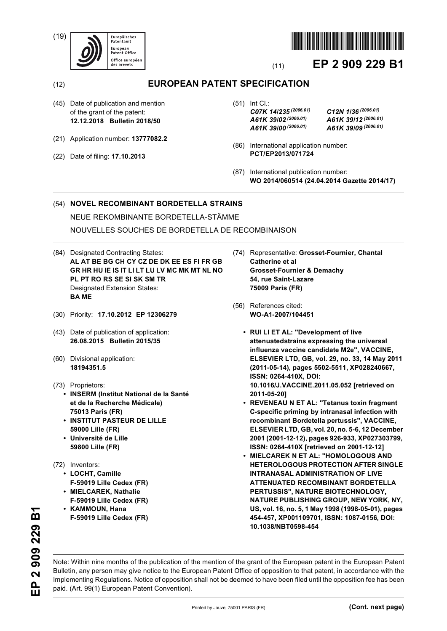(19)





# (11) **EP 2 909 229 B1**

## (12) **EUROPEAN PATENT SPECIFICATION**

- (45) Date of publication and mention of the grant of the patent: **12.12.2018 Bulletin 2018/50**
- (21) Application number: **13777082.2**
- (22) Date of filing: **17.10.2013**
- (51) Int Cl.: *C07K 14/235 (2006.01) C12N 1/36 (2006.01) A61K 39/02 (2006.01) A61K 39/12 (2006.01) A61K 39/00 (2006.01) A61K 39/09 (2006.01)*
- (86) International application number: **PCT/EP2013/071724**
- (87) International publication number: **WO 2014/060514 (24.04.2014 Gazette 2014/17)**

### (54) **NOVEL RECOMBINANT BORDETELLA STRAINS** NEUE REKOMBINANTE BORDETELLA-STÄMME

NOUVELLES SOUCHES DE BORDETELLA DE RECOMBINAISON

- (84) Designated Contracting States: **AL AT BE BG CH CY CZ DE DK EE ES FI FR GB GR HR HU IE IS IT LI LT LU LV MC MK MT NL NO PL PT RO RS SE SI SK SM TR** Designated Extension States: **BA ME**
- (30) Priority: **17.10.2012 EP 12306279**
- (43) Date of publication of application: **26.08.2015 Bulletin 2015/35**
- (60) Divisional application: **18194351.5**

### (73) Proprietors:

- **INSERM (Institut National de la Santé et de la Recherche Médicale) 75013 Paris (FR)**
- **INSTITUT PASTEUR DE LILLE 59000 Lille (FR)**
- **Université de Lille 59800 Lille (FR)**
- (72) Inventors:
	- **LOCHT, Camille F-59019 Lille Cedex (FR)**
	- **MIELCAREK, Nathalie**
	- **F-59019 Lille Cedex (FR)**
	- **KAMMOUN, Hana F-59019 Lille Cedex (FR)**
- (74) Representative: **Grosset-Fournier, Chantal Catherine et al Grosset-Fournier & Demachy 54, rue Saint-Lazare 75009 Paris (FR)**
- (56) References cited: **WO-A1-2007/104451** 
	- **RUI LI ET AL: "Development of live attenuatedstrains expressing the universal influenza vaccine candidate M2e", VACCINE, ELSEVIER LTD, GB, vol. 29, no. 33, 14 May 2011 (2011-05-14), pages 5502-5511, XP028240667, ISSN: 0264-410X, DOI: 10.1016/J.VACCINE.2011.05.052 [retrieved on 2011-05-20]**
	- **REVENEAU N ET AL: "Tetanus toxin fragment C-specific priming by intranasal infection with recombinant Bordetella pertussis", VACCINE, ELSEVIER LTD, GB, vol. 20, no. 5-6, 12 December 2001 (2001-12-12), pages 926-933, XP027303799, ISSN: 0264-410X [retrieved on 2001-12-12]**
	- **MIELCAREK N ET AL: "HOMOLOGOUS AND HETEROLOGOUS PROTECTION AFTER SINGLE INTRANASAL ADMINISTRATION OF LIVE ATTENUATED RECOMBINANT BORDETELLA PERTUSSIS", NATURE BIOTECHNOLOGY, NATURE PUBLISHING GROUP, NEW YORK, NY, US, vol. 16, no. 5, 1 May 1998 (1998-05-01), pages 454-457, XP001109701, ISSN: 1087-0156, DOI: 10.1038/NBT0598-454**

**EP 2 909 229 B1** 2 909 229 B  $\frac{\mathsf{p}}{\mathsf{p}}$ 

Note: Within nine months of the publication of the mention of the grant of the European patent in the European Patent Bulletin, any person may give notice to the European Patent Office of opposition to that patent, in accordance with the Implementing Regulations. Notice of opposition shall not be deemed to have been filed until the opposition fee has been paid. (Art. 99(1) European Patent Convention).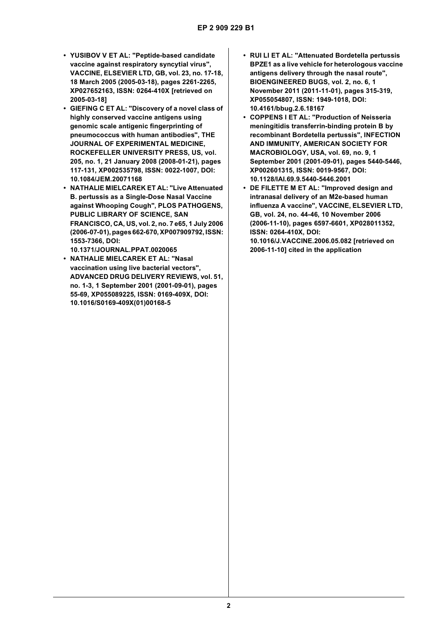- **YUSIBOV V ET AL: "Peptide-based candidate vaccine against respiratory syncytial virus", VACCINE, ELSEVIER LTD, GB, vol. 23, no. 17-18, 18 March 2005 (2005-03-18), pages 2261-2265, XP027652163, ISSN: 0264-410X [retrieved on 2005-03-18]**
- **GIEFING C ET AL: "Discovery of a novel class of highly conserved vaccine antigens using genomic scale antigenic fingerprinting of pneumococcus with human antibodies", THE JOURNAL OF EXPERIMENTAL MEDICINE, ROCKEFELLER UNIVERSITY PRESS, US, vol. 205, no. 1, 21 January 2008 (2008-01-21), pages 117-131, XP002535798, ISSN: 0022-1007, DOI: 10.1084/JEM.20071168**
- **NATHALIE MIELCAREK ET AL: "Live Attenuated B. pertussis as a Single-Dose Nasal Vaccine against Whooping Cough", PLOS PATHOGENS, PUBLIC LIBRARY OF SCIENCE, SAN FRANCISCO, CA, US, vol. 2, no. 7 e65, 1 July 2006 (2006-07-01), pages 662-670, XP007909792, ISSN: 1553-7366, DOI: 10.1371/JOURNAL.PPAT.0020065**
- **NATHALIE MIELCAREK ET AL: "Nasal vaccination using live bacterial vectors", ADVANCED DRUG DELIVERY REVIEWS, vol. 51, no. 1-3, 1 September 2001 (2001-09-01), pages 55-69, XP055089225, ISSN: 0169-409X, DOI: 10.1016/S0169-409X(01)00168-5**
- **RUI LI ET AL: "Attenuated Bordetella pertussis BPZE1 as a live vehicle for heterologous vaccine antigens delivery through the nasal route", BIOENGINEERED BUGS, vol. 2, no. 6, 1 November 2011 (2011-11-01), pages 315-319, XP055054807, ISSN: 1949-1018, DOI: 10.4161/bbug.2.6.18167**
- **COPPENS I ET AL: "Production of Neisseria meningitidis transferrin-binding protein B by recombinant Bordetella pertussis", INFECTION AND IMMUNITY, AMERICAN SOCIETY FOR MACROBIOLOGY, USA, vol. 69, no. 9, 1 September 2001 (2001-09-01), pages 5440-5446, XP002601315, ISSN: 0019-9567, DOI: 10.1128/IAI.69.9.5440-5446.2001**
- **DE FILETTE M ET AL: "Improved design and intranasal delivery of an M2e-based human influenza A vaccine", VACCINE, ELSEVIER LTD, GB, vol. 24, no. 44-46, 10 November 2006 (2006-11-10), pages 6597-6601, XP028011352, ISSN: 0264-410X, DOI: 10.1016/J.VACCINE.2006.05.082 [retrieved on 2006-11-10] cited in the application**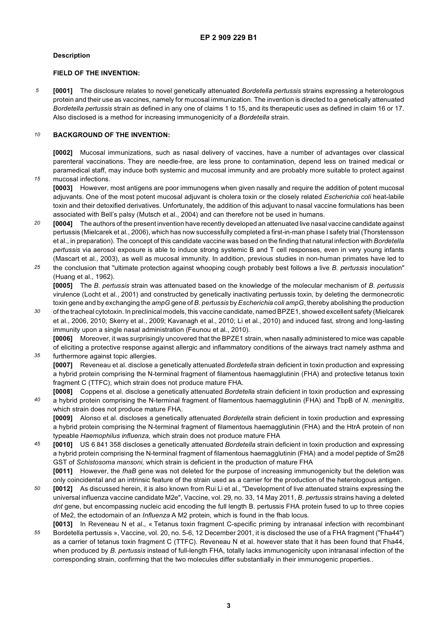#### **Description**

#### **FIELD OF THE INVENTION:**

*5* **[0001]** The disclosure relates to novel genetically attenuated *Bordetella pertussis* strains expressing a heterologous protein and their use as vaccines, namely for mucosal immunization. The invention is directed to a genetically attenuated *Bordetella pertussis* strain as defined in any one of claims 1 to 15, and its therapeutic uses as defined in claim 16 or 17. Also disclosed is a method for increasing immunogenicity of a *Bordetella* strain.

#### *10* **BACKGROUND OF THE INVENTION:**

**[0002]** Mucosal immunizations, such as nasal delivery of vaccines, have a number of advantages over classical parenteral vaccinations. They are needle-free, are less prone to contamination, depend less on trained medical or paramedical staff, may induce both systemic and mucosal immunity and are probably more suitable to protect against

*15* mucosal infections.

> **[0003]** However, most antigens are poor immunogens when given nasally and require the addition of potent mucosal adjuvants. One of the most potent mucosal adjuvant is cholera toxin or the closely related *Escherichia coli* heat-labile toxin and their detoxified derivatives. Unfortunately, the addition of this adjuvant to nasal vaccine formulations has been associated with Bell's palsy (Mutsch et al., 2004) and can therefore not be used in humans.

- *20* **[0004]** The authors of the present invention have recently developed an attenuated live nasal vaccine candidate against pertussis (Mielcarek et al., 2006), which has now successfully completed a first-in-man phase I safety trial (Thorstensson et al., in preparation). The concept of this candidate vaccine was based on the finding that natural infection with *Bordetella pertussis* via aerosol exposure is able to induce strong systemic B and T cell responses, even in very young infants (Mascart et al., 2003), as well as mucosal immunity. In addition, previous studies in non-human primates have led to
- *25* the conclusion that "ultimate protection against whooping cough probably best follows a live *B. pertussis* inoculation" (Huang et al., 1962).

**[0005]** The *B. pertussis* strain was attenuated based on the knowledge of the molecular mechanism of *B. pertussis* virulence (Locht et al., 2001) and constructed by genetically inactivating pertussis toxin, by deleting the dermonecrotic toxin gene and by exchanging the *ampG* gene of *B. pertussis* by *Escherichia coli ampG*, thereby abolishing the production

*30* of the tracheal cytotoxin. In preclinical models, this vaccine candidate, named BPZE1, showed excellent safety (Mielcarek et al., 2006, 2010; Skerry et al., 2009; Kavanagh et al., 2010; Li et al., 2010) and induced fast, strong and long-lasting immunity upon a single nasal administration (Feunou et al., 2010).

*35* **[0006]** Moreover, it was surprisingly uncovered that the BPZE1 strain, when nasally administered to mice was capable of eliciting a protective response against allergic and inflammatory conditions of the airways tract namely asthma and furthermore against topic allergies.

**[0007]** Reveneau et al. disclose a genetically attenuated *Bordetella* strain deficient in toxin production and expressing a hybrid protein comprising the N-terminal fragment of filamentous haemagglutinin (FHA) and protective tetanus toxin fragment C (TTFC), which strain does not produce mature FHA.

*40* **[0008]** Coppens et al. disclose a genetically attenuated *Bordetella* strain deficient in toxin production and expressing a hybrid protein comprising the N-terminal fragment of filamentous haemagglutinin (FHA) and TbpB of *N. meningitis*, which strain does not produce mature FHA.

**[0009]** Alonso et al. discloses a genetically attenuated *Bordetella* strain deficient in toxin production and expressing a hybrid protein comprising the N-terminal fragment of filamentous haemagglutinin (FHA) and the HtrA protein of non typeable *Haemophilus influenza,* which strain does not produce mature FHA

*45* **[0010]** US 6 841 358 discloses a genetically attenuated *Bordetella* strain deficient in toxin production and expressing a hybrid protein comprising the N-terminal fragment of filamentous haemagglutinin (FHA) and a model peptide of Sm28 GST of *Schistosoma mansoni,* which strain is deficient in the production of mature FHA **[0011]** However, the *fhaB* gene was not deleted for the purpose of increasing immunogenicity but the deletion was

only coincidental and an intrinsic feature of the strain used as a carrier for the production of the heterologous antigen.

- *50* **[0012]** As discussed herein, it is also known from Rui Li et al., "Development of live attenuated strains expressing the universal influenza vaccine candidate M2e", Vaccine, vol. 29, no. 33, 14 May 2011, *B. pertussis* strains having a deleted *dnt* gene, but encompassing nucleic acid encoding the full length B. pertussis FHA protein fused to up to three copies of Me2, the ectodomain of an *Influenza* A M2 protein, which is found in the fhab locus.
- *55* **[0013]** In Reveneau N et al., « Tetanus toxin fragment C-specific priming by intranasal infection with recombinant Bordetella pertussis », Vaccine, vol. 20, no. 5-6, 12 December 2001, it is disclosed the use of a FHA fragment ("Fha44") as a carrier of tetanus toxin fragment C (TTFC). Reveneau N et al. however state that it has been found that Fha44, when produced by *B. pertussis* instead of full-length FHA, totally lacks immunogenicity upon intranasal infection of the corresponding strain, confirming that the two molecules differ substantially in their immunogenic properties..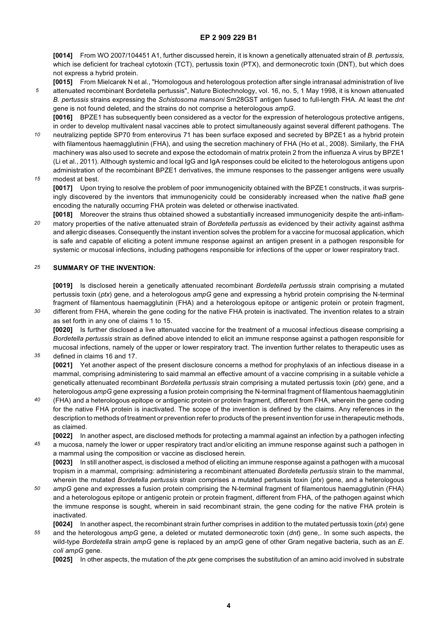**[0014]** From WO 2007/104451 A1, further discussed herein, it is known a genetically attenuated strain of *B. pertussis,* which ise deficient for tracheal cytotoxin (TCT), pertussis toxin (PTX), and dermonecrotic toxin (DNT), but which does not express a hybrid protein.

**[0015]** From Mielcarek N et al., "Homologous and heterologous protection after single intranasal administration of live

*5* attenuated recombinant Bordetella pertussis", Nature Biotechnology, vol. 16, no. 5, 1 May 1998, it is known attenuated *B. pertussis* strains expressing the *Schistosoma mansoni* Sm28GST antigen fused to full-length FHA. At least the *dnt* gene is not found deleted, and the strains do not comprise a heterologous *ampG*. **[0016]** BPZE1 has subsequently been considered as a vector for the expression of heterologous protective antigens,

*10* in order to develop multivalent nasal vaccines able to protect simultaneously against several different pathogens. The neutralizing peptide SP70 from enterovirus 71 has been surface exposed and secreted by BPZE1 as a hybrid protein with filamentous haemagglutinin (FHA), and using the secretion machinery of FHA (Ho et al., 2008). Similarly, the FHA machinery was also used to secrete and expose the ectodomain of matrix protein 2 from the influenza A virus by BPZE1 (Li et al., 2011). Although systemic and local IgG and IgA responses could be elicited to the heterologous antigens upon administration of the recombinant BPZE1 derivatives, the immune responses to the passenger antigens were usually

#### *15* modest at best.

*35*

**[0017]** Upon trying to resolve the problem of poor immunogenicity obtained with the BPZE1 constructs, it was surprisingly discovered by the inventors that immunogenicity could be considerably increased when the native *fhaB* gene encoding the naturally occurring FHA protein was deleted or otherwise inactivated.

*20* **[0018]** Moreover the strains thus obtained showed a substantially increased immunogenicity despite the anti-inflammatory properties of the native attenuated strain of *Bordetella pertussis* as evidenced by their activity against asthma and allergic diseases. Consequently the instant invention solves the problem for a vaccine for mucosal application, which is safe and capable of eliciting a potent immune response against an antigen present in a pathogen responsible for systemic or mucosal infections, including pathogens responsible for infections of the upper or lower respiratory tract.

#### *25* **SUMMARY OF THE INVENTION:**

**[0019]** Is disclosed herein a genetically attenuated recombinant *Bordetella pertussis* strain comprising a mutated pertussis toxin (*ptx*) gene, and a heterologous *ampG* gene and expressing a hybrid protein comprising the N-terminal fragment of filamentous haemagglutinin (FHA) and a heterologous epitope or antigenic protein or protein fragment,

*30* different from FHA, wherein the gene coding for the native FHA protein is inactivated. The invention relates to a strain as set forth in any one of claims 1 to 15.

**[0020]** Is further disclosed a live attenuated vaccine for the treatment of a mucosal infectious disease comprising a *Bordetella pertussis* strain as defined above intended to elicit an immune response against a pathogen responsible for mucosal infections, namely of the upper or lower respiratory tract. The invention further relates to therapeutic uses as defined in claims 16 and 17.

**[0021]** Yet another aspect of the present disclosure concerns a method for prophylaxis of an infectious disease in a mammal, comprising administering to said mammal an effective amount of a vaccine comprising in a suitable vehicle a genetically attenuated recombinant *Bordetella pertussis* strain comprising a mutated pertussis toxin (*ptx*) gene, and a heterologous *ampG* gene expressing a fusion protein comprising the N-terminal fragment of filamentous haemagglutinin

*40* (FHA) and a heterologous epitope or antigenic protein or protein fragment, different from FHA, wherein the gene coding for the native FHA protein is inactivated. The scope of the invention is defined by the claims. Any references in the description to methods of treatment or prevention refer to products of the present invention for use in therapeutic methods, as claimed.

*45* **[0022]** In another aspect, are disclosed methods for protecting a mammal against an infection by a pathogen infecting a mucosa, namely the lower or upper respiratory tract and/or eliciting an immune response against such a pathogen in a mammal using the composition or vaccine as disclosed herein. **[0023]** In still another aspect, is disclosed a method of eliciting an immune response against a pathogen with a mucosal

tropism in a mammal, comprising: administering a recombinant attenuated *Bordetella pertussis* strain to the mammal, wherein the mutated *Bordetella pertussis* strain comprises a mutated pertussis toxin (*ptx*) gene, and a heterologous

- *50 ampG* gene and expresses a fusion protein comprising the N-terminal fragment of filamentous haemagglutinin (FHA) and a heterologous epitope or antigenic protein or protein fragment, different from FHA, of the pathogen against which the immune response is sought, wherein in said recombinant strain, the gene coding for the native FHA protein is inactivated.
- *55* **[0024]** In another aspect, the recombinant strain further comprises in addition to the mutated pertussis toxin (*ptx*) gene and the heterologous *ampG* gene, a deleted or mutated dermonecrotic toxin (*dnt*) gene,. In some such aspects, the wild-type *Bordetella* strain *ampG* gene is replaced by an *ampG* gene of other Gram negative bacteria, such as an *E*. *coli ampG* gene.

**[0025]** In other aspects, the mutation of the *ptx* gene comprises the substitution of an amino acid involved in substrate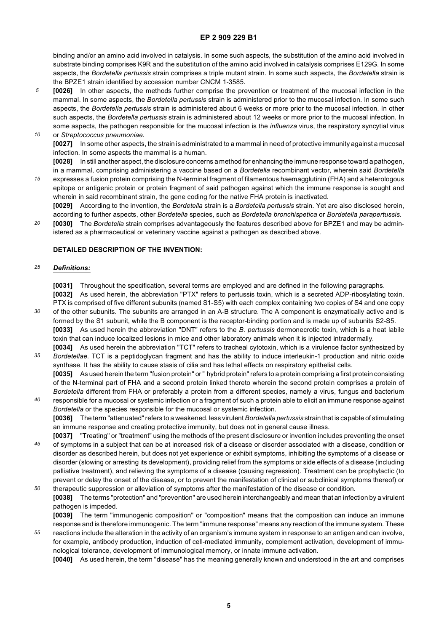binding and/or an amino acid involved in catalysis. In some such aspects, the substitution of the amino acid involved in substrate binding comprises K9R and the substitution of the amino acid involved in catalysis comprises E129G. In some aspects, the *Bordetella pertussis* strain comprises a triple mutant strain. In some such aspects, the *Bordetella* strain is the BPZE1 strain identified by accession number CNCM 1-3585.

- *5 10* **[0026]** In other aspects, the methods further comprise the prevention or treatment of the mucosal infection in the mammal. In some aspects, the *Bordetella pertussis* strain is administered prior to the mucosal infection. In some such aspects, the *Bordetella pertussis* strain is administered about 6 weeks or more prior to the mucosal infection. In other such aspects, the *Bordetella pertussis* strain is administered about 12 weeks or more prior to the mucosal infection. In some aspects, the pathogen responsible for the mucosal infection is the *influenza* virus, the respiratory syncytial virus
	- or *Streptococcus pneumoniae.* **[0027]** In some other aspects, the strain is administrated to a mammal in need of protective immunity against a mucosal infection. In some aspects the mammal is a human.

**[0028]** In still another aspect, the disclosure concerns a method for enhancing the immune response toward a pathogen, in a mammal, comprising administering a vaccine based on a *Bordetella* recombinant vector, wherein said *Bordetella*

*15* expresses a fusion protein comprising the N-terminal fragment of filamentous haemagglutinin (FHA) and a heterologous epitope or antigenic protein or protein fragment of said pathogen against which the immune response is sought and wherein in said recombinant strain, the gene coding for the native FHA protein is inactivated.

**[0029]** According to the invention, the *Bordetella* strain is a *Bordetella pertussis* strain. Yet are also disclosed herein, according to further aspects, other *Bordetella* species, such as *Bordetella bronchispetica* or *Bordetella parapertussis*.

*20* **[0030]** The *Bordetella* strain comprises advantageously the features described above for BPZE1 and may be administered as a pharmaceutical or veterinary vaccine against a pathogen as described above.

#### **DETAILED DESCRIPTION OF THE INVENTION:**

#### *25 Definitions:*

**[0031]** Throughout the specification, several terms are employed and are defined in the following paragraphs.

**[0032]** As used herein, the abbreviation "PTX" refers to pertussis toxin, which is a secreted ADP-ribosylating toxin. PTX is comprised of five different subunits (named S1-S5) with each complex containing two copies of S4 and one copy

- *30* of the other subunits. The subunits are arranged in an A-B structure. The A component is enzymatically active and is formed by the S1 subunit, while the B component is the receptor-binding portion and is made up of subunits S2-S5. **[0033]** As used herein the abbreviation "DNT" refers to the *B. pertussis* dermonecrotic toxin, which is a heat labile toxin that can induce localized lesions in mice and other laboratory animals when it is injected intradermally. **[0034]** As used herein the abbreviation "TCT" refers to tracheal cytotoxin, which is a virulence factor synthesized by
- *35 Bordetellae*. TCT is a peptidoglycan fragment and has the ability to induce interleukin-1 production and nitric oxide synthase. It has the ability to cause stasis of cilia and has lethal effects on respiratory epithelial cells. **[0035]** As used herein the term "fusion protein" or " hybrid protein" refers to a protein comprising a first protein consisting of the N-terminal part of FHA and a second protein linked thereto wherein the second protein comprises a protein of
- *40 Bordetella* different from FHA or preferably a protein from a different species, namely a virus, fungus and bacterium responsible for a mucosal or systemic infection or a fragment of such a protein able to elicit an immune response against *Bordetella* or the species responsible for the mucosal or systemic infection. **[0036]** The term "attenuated" refers to a weakened, less virulent *Bordetella pertussis* strain that is capable of stimulating

an immune response and creating protective immunity, but does not in general cause illness.

- *45 50* **[0037]** "Treating" or "treatment" using the methods of the present disclosure or invention includes preventing the onset of symptoms in a subject that can be at increased risk of a disease or disorder associated with a disease, condition or disorder as described herein, but does not yet experience or exhibit symptoms, inhibiting the symptoms of a disease or disorder (slowing or arresting its development), providing relief from the symptoms or side effects of a disease (including palliative treatment), and relieving the symptoms of a disease (causing regression). Treatment can be prophylactic (to prevent or delay the onset of the disease, or to prevent the manifestation of clinical or subclinical symptoms thereof) or
- therapeutic suppression or alleviation of symptoms after the manifestation of the disease or condition. **[0038]** The terms "protection" and "prevention" are used herein interchangeably and mean that an infection by a virulent pathogen is impeded.

**[0039]** The term "immunogenic composition" or "composition" means that the composition can induce an immune response and is therefore immunogenic. The term "immune response" means any reaction of the immune system. These

*55* reactions include the alteration in the activity of an organism's immune system in response to an antigen and can involve, for example, antibody production, induction of cell-mediated immunity, complement activation, development of immunological tolerance, development of immunological memory, or innate immune activation.

**[0040]** As used herein, the term "disease" has the meaning generally known and understood in the art and comprises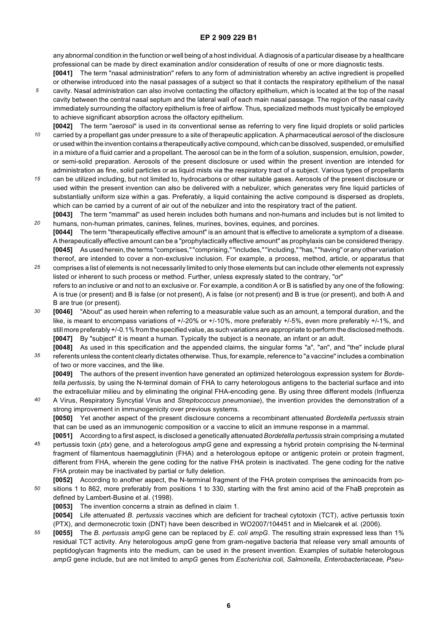any abnormal condition in the function or well being of a host individual. A diagnosis of a particular disease by a healthcare professional can be made by direct examination and/or consideration of results of one or more diagnostic tests.

**[0041]** The term "nasal administration" refers to any form of administration whereby an active ingredient is propelled or otherwise introduced into the nasal passages of a subject so that it contacts the respiratory epithelium of the nasal cavity. Nasal administration can also involve contacting the olfactory epithelium, which is located at the top of the nasal cavity between the central nasal septum and the lateral wall of each main nasal passage. The region of the nasal cavity immediately surrounding the olfactory epithelium is free of airflow. Thus, specialized methods must typically be employed to achieve significant absorption across the olfactory epithelium.

*5*

- *10* **[0042]** The term "aerosol" is used in its conventional sense as referring to very fine liquid droplets or solid particles carried by a propellant gas under pressure to a site of therapeutic application. A pharmaceutical aerosol of the disclosure or used within the invention contains a therapeutically active compound, which can be dissolved, suspended, or emulsified in a mixture of a fluid carrier and a propellant. The aerosol can be in the form of a solution, suspension, emulsion, powder, or semi-solid preparation. Aerosols of the present disclosure or used within the present invention are intended for administration as fine, solid particles or as liquid mists via the respiratory tract of a subject. Various types of propellants
- *15* can be utilized including, but not limited to, hydrocarbons or other suitable gases. Aerosols of the present disclosure or used within the present invention can also be delivered with a nebulizer, which generates very fine liquid particles of substantially uniform size within a gas. Preferably, a liquid containing the active compound is dispersed as droplets, which can be carried by a current of air out of the nebulizer and into the respiratory tract of the patient.

*20* **[0043]** The term "mammal" as used herein includes both humans and non-humans and includes but is not limited to humans, non-human primates, canines, felines, murines, bovines, equines, and porcines.

- **[0044]** The term "therapeutically effective amount" is an amount that is effective to ameliorate a symptom of a disease. A therapeutically effective amount can be a "prophylactically effective amount" as prophylaxis can be considered therapy. **[0045]** As used herein, the terms "comprises," "comprising," "includes," "including," "has," "having" or any other variation thereof, are intended to cover a non-exclusive inclusion. For example, a process, method, article, or apparatus that
- *25* comprises a list of elements is not necessarily limited to only those elements but can include other elements not expressly listed or inherent to such process or method. Further, unless expressly stated to the contrary, "or" refers to an inclusive or and not to an exclusive or. For example, a condition A or B is satisfied by any one of the following: A is true (or present) and B is false (or not present), A is false (or not present) and B is true (or present), and both A and B are true (or present).
- *30* **[0046]** "About" as used herein when referring to a measurable value such as an amount, a temporal duration, and the like, is meant to encompass variations of +/-20% or +/-10%, more preferably +/-5%, even more preferably +/-1%, and still more preferably +/-0.1% from the specified value, as such variations are appropriate to perform the disclosed methods. **[0047]** By "subject" it is meant a human. Typically the subject is a neonate, an infant or an adult.
- *35* **[0048]** As used in this specification and the appended claims, the singular forms "a", "an", and "the" include plural referents unless the content clearly dictates otherwise. Thus, for example, reference to "a vaccine" includes a combination of two or more vaccines, and the like.

**[0049]** The authors of the present invention have generated an optimized heterologous expression system for *Bordetella pertussis,* by using the N-terminal domain of FHA to carry heterologous antigens to the bacterial surface and into the extracellular milieu and by eliminating the original FHA-encoding gene. By using three different models (Influenza

*40* A Virus, Respiratory Syncytial Virus and *Streptococcus pneumoniae*), the invention provides the demonstration of a strong improvement in immunogenicity over previous systems. **[0050]** Yet another aspect of the present disclosure concerns a recombinant attenuated *Bordetella pertussis* strain that can be used as an immunogenic composition or a vaccine to elicit an immune response in a mammal.

*45* **[0051]** According to a first aspect, is disclosed a genetically attenuated *Bordetella pertussis* strain comprising a mutated pertussis toxin (*ptx*) gene, and a heterologous *ampG* gene and expressing a hybrid protein comprising the N-terminal fragment of filamentous haemagglutinin (FHA) and a heterologous epitope or antigenic protein or protein fragment, different from FHA, wherein the gene coding for the native FHA protein is inactivated. The gene coding for the native FHA protein may be inactivated by partial or fully deletion.

*50* **[0052]** According to another aspect, the N-terminal fragment of the FHA protein comprises the aminoacids from positions 1 to 862, more preferably from positions 1 to 330, starting with the first amino acid of the FhaB preprotein as defined by Lambert-Busine et al. (1998).

**[0053]** The invention concerns a strain as defined in claim 1.

**[0054]** Life attenuated *B. pertussis* vaccines which are deficient for tracheal cytotoxin (TCT), active pertussis toxin (PTX), and dermonecrotic toxin (DNT) have been described in WO2007/104451 and in Mielcarek et al. (2006).

*55* **[0055]** The *B. pertussis ampG* gene can be replaced by *E*. *coli ampG*. The resulting strain expressed less than 1% residual TCT activity. Any heterologous *ampG* gene from gram-negative bacteria that release very small amounts of peptidoglycan fragments into the medium, can be used in the present invention. Examples of suitable heterologous *ampG* gene include, but are not limited to *ampG* genes from *Escherichia coli, Salmonella, Enterobacteriaceae, Pseu-*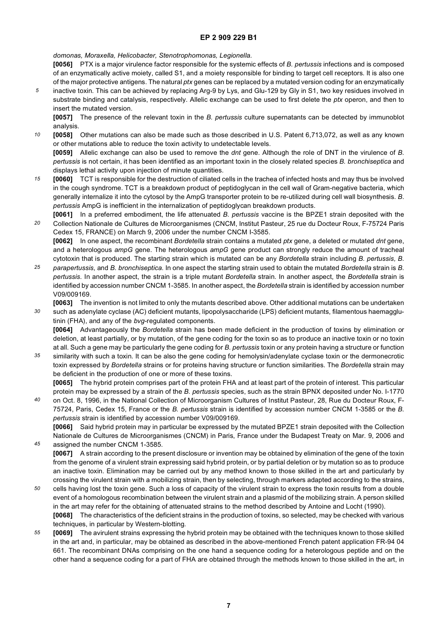*domonas, Moraxella, Helicobacter, Stenotrophomonas, Legionella.*

**[0056]** PTX is a major virulence factor responsible for the systemic effects of *B. pertussis* infections and is composed of an enzymatically active moiety, called S1, and a moiety responsible for binding to target cell receptors. It is also one of the major protective antigens. The natural *ptx* genes can be replaced by a mutated version coding for an enzymatically

*5* inactive toxin. This can be achieved by replacing Arg-9 by Lys, and Glu-129 by Gly in S1, two key residues involved in substrate binding and catalysis, respectively. Allelic exchange can be used to first delete the *ptx* operon, and then to insert the mutated version.

**[0057]** The presence of the relevant toxin in the *B. pertussis* culture supernatants can be detected by immunoblot analysis.

*10* **[0058]** Other mutations can also be made such as those described in U.S. Patent 6,713,072, as well as any known or other mutations able to reduce the toxin activity to undetectable levels.

**[0059]** Allelic exchange can also be used to remove the *dnt* gene. Although the role of DNT in the virulence of *B. pertussis* is not certain, it has been identified as an important toxin in the closely related species *B. bronchiseptica* and displays lethal activity upon injection of minute quantities.

- *15* **[0060]** TCT is responsible for the destruction of ciliated cells in the trachea of infected hosts and may thus be involved in the cough syndrome. TCT is a breakdown product of peptidoglycan in the cell wall of Gram-negative bacteria, which generally internalize it into the cytosol by the AmpG transporter protein to be re-utilized during cell wall biosynthesis. *B*. *pertussis* AmpG is inefficient in the internalization of peptidoglycan breakdown products.
- *20* **[0061]** In a preferred embodiment, the life attenuated *B. pertussis* vaccine is the BPZE1 strain deposited with the Collection Nationale de Cultures de Microorganismes (CNCM, Institut Pasteur, 25 rue du Docteur Roux, F-75724 Paris Cedex 15, FRANCE) on March 9, 2006 under the number CNCM I-3585.

**[0062]** In one aspect, the recombinant *Bordetella* strain contains a mutated *ptx* gene, a deleted or mutated *dnt* gene, and a heterologous *ampG* gene. The heterologous *ampG* gene product can strongly reduce the amount of tracheal cytotoxin that is produced. The starting strain which is mutated can be any *Bordetella* strain including *B. pertussis, B.*

- *25 parapertussis,* and *B. bronchiseptica.* In one aspect the starting strain used to obtain the mutated *Bordetella* strain is *B. pertussis.* In another aspect, the strain is a triple mutant *Bordetella* strain. In another aspect, the *Bordetella* strain is identified by accession number CNCM 1-3585. In another aspect, the *Bordetella* strain is identified by accession number V09/009169.
- *30* **[0063]** The invention is not limited to only the mutants described above. Other additional mutations can be undertaken such as adenylate cyclase (AC) deficient mutants, lipopolysaccharide (LPS) deficient mutants, filamentous haemagglutinin (FHA), and any of the *bvg*-regulated components.

**[0064]** Advantageously the *Bordetella* strain has been made deficient in the production of toxins by elimination or deletion, at least partially, or by mutation, of the gene coding for the toxin so as to produce an inactive toxin or no toxin at all. Such a gene may be particularly the gene coding for *B. pertussis* toxin or any protein having a structure or function

*35* similarity with such a toxin. It can be also the gene coding for hemolysin/adenylate cyclase toxin or the dermonecrotic toxin expressed by *Bordetella* strains or for proteins having structure or function similarities. The *Bordetella* strain may be deficient in the production of one or more of these toxins.

**[0065]** The hybrid protein comprises part of the protein FHA and at least part of the protein of interest. This particular protein may be expressed by a strain of the *B. pertussis* species, such as the strain BPNX deposited under No. I-1770 on Oct. 8, 1996, in the National Collection of Microorganism Cultures of Institut Pasteur, 28, Rue du Docteur Roux, F-

*40* 75724, Paris, Cedex 15, France or the *B. pertussis* strain is identified by accession number CNCM 1-3585 or the *B. pertussis* strain is identified by accession number V09/009169.

**[0066]** Said hybrid protein may in particular be expressed by the mutated BPZE1 strain deposited with the Collection Nationale de Cultures de Microorganismes (CNCM) in Paris, France under the Budapest Treaty on Mar. 9, 2006 and assigned the number CNCM 1-3585.

**[0067]** A strain according to the present disclosure or invention may be obtained by elimination of the gene of the toxin from the genome of a virulent strain expressing said hybrid protein, or by partial deletion or by mutation so as to produce an inactive toxin. Elimination may be carried out by any method known to those skilled in the art and particularly by crossing the virulent strain with a mobilizing strain, then by selecting, through markers adapted according to the strains,

- *50* cells having lost the toxin gene. Such a loss of capacity of the virulent strain to express the toxin results from a double event of a homologous recombination between the virulent strain and a plasmid of the mobilizing strain. A person skilled in the art may refer for the obtaining of attenuated strains to the method described by Antoine and Locht (1990). **[0068]** The characteristics of the deficient strains in the production of toxins, so selected, may be checked with various techniques, in particular by Western-blotting.
- *55* **[0069]** The avirulent strains expressing the hybrid protein may be obtained with the techniques known to those skilled in the art and, in particular, may be obtained as described in the above-mentioned French patent application FR-94 04 661. The recombinant DNAs comprising on the one hand a sequence coding for a heterologous peptide and on the other hand a sequence coding for a part of FHA are obtained through the methods known to those skilled in the art, in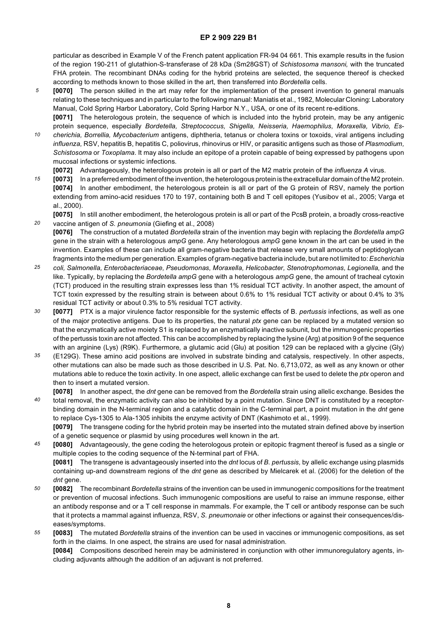particular as described in Example V of the French patent application FR-94 04 661. This example results in the fusion of the region 190-211 of glutathion-S-transferase of 28 kDa (Sm28GST) of *Schistosoma mansoni,* with the truncated FHA protein. The recombinant DNAs coding for the hybrid proteins are selected, the sequence thereof is checked according to methods known to those skilled in the art, then transferred into *Bordetella* cells.

- *5* **[0070]** The person skilled in the art may refer for the implementation of the present invention to general manuals relating to these techniques and in particular to the following manual: Maniatis et al., 1982, Molecular Cloning: Laboratory Manual, Cold Spring Harbor Laboratory, Cold Spring Harbor N.Y., USA, or one of its recent re-editions. **[0071]** The heterologous protein, the sequence of which is included into the hybrid protein, may be any antigenic
- *10* protein sequence, especially *Bordetella, Streptococcus, Shigella, Neisseria, Haemophilus, Moraxella, Vibrio, Escherichia, Borrellia, Mycobacterium* antigens, diphtheria, tetanus or cholera toxins or toxoids, viral antigens including *influenza,* RSV, hepatitis B, hepatitis C, poliovirus, rhinovirus or HIV, or parasitic antigens such as those of *Plasmodium, Schistosoma* or *Toxoplama*. It may also include an epitope of a protein capable of being expressed by pathogens upon mucosal infections or systemic infections.
- **[0072]** Advantageously, the heterologous protein is all or part of the M2 matrix protein of the *influenza A* virus.

*20*

- *15* **[0073]** In a preferred embodiment of the invention, the heterologous protein is the extracellular domain of the M2 protein. **[0074]** In another embodiment, the heterologous protein is all or part of the G protein of RSV, namely the portion extending from amino-acid residues 170 to 197, containing both B and T cell epitopes (Yusibov et al., 2005; Varga et al., 2000).
	- **[0075]** In still another embodiment, the heterologous protein is all or part of the PcsB protein, a broadly cross-reactive vaccine antigen of *S. pneumonia* (Giefing et al., 2008)
- **[0076]** The construction of a mutated *Bordetella* strain of the invention may begin with replacing the *Bordetella ampG* gene in the strain with a heterologous *ampG* gene. Any heterologous *ampG* gene known in the art can be used in the invention. Examples of these can include all gram-negative bacteria that release very small amounts of peptidoglycan fragments into the medium per generation. Examples of gram-negative bacteria include, but are not limited to: *Escherichia*
- *25 coli, Salmonella, Enterobacteriaceae, Pseudomonas, Moraxella, Helicobacter, Stenotrophomonas, Legionella,* and the like. Typically, by replacing the *Bordetella ampG* gene with a heterologous *ampG* gene, the amount of tracheal cytoxin (TCT) produced in the resulting strain expresses less than 1% residual TCT activity. In another aspect, the amount of TCT toxin expressed by the resulting strain is between about 0.6% to 1% residual TCT activity or about 0.4% to 3% residual TCT activity or about 0.3% to 5% residual TCT activity.
- *30* **[0077]** PTX is a major virulence factor responsible for the systemic effects of B. *pertussis* infections, as well as one of the major protective antigens. Due to its properties, the natural *ptx* gene can be replaced by a mutated version so that the enzymatically active moiety S1 is replaced by an enzymatically inactive subunit, but the immunogenic properties of the pertussis toxin are not affected. This can be accomplished by replacing the lysine (Arg) at position 9 of the sequence with an arginine (Lys) (R9K). Furthermore, a glutamic acid (Glu) at position 129 can be replaced with a glycine (Gly)
- *35* (E129G). These amino acid positions are involved in substrate binding and catalysis, respectively. In other aspects, other mutations can also be made such as those described in U.S. Pat. No. 6,713,072, as well as any known or other mutations able to reduce the toxin activity. In one aspect, allelic exchange can first be used to delete the *ptx* operon and then to insert a mutated version.
- *40* **[0078]** In another aspect, the *dnt* gene can be removed from the *Bordetella* strain using allelic exchange. Besides the total removal, the enzymatic activity can also be inhibited by a point mutation. Since DNT is constituted by a receptorbinding domain in the N-terminal region and a catalytic domain in the C-terminal part, a point mutation in the *dnt* gene to replace Cys-1305 to Ala-1305 inhibits the enzyme activity of DNT (Kashimoto et al., 1999).

**[0079]** The transgene coding for the hybrid protein may be inserted into the mutated strain defined above by insertion of a genetic sequence or plasmid by using procedures well known in the art.

- *45* **[0080]** Advantageously, the gene coding the heterologous protein or epitopic fragment thereof is fused as a single or multiple copies to the coding sequence of the N-terminal part of FHA. **[0081]** The transgene is advantageously inserted into the *dnt* locus of *B. pertussis,* by allelic exchange using plasmids containing up-and downstream regions of the *dnt* gene as described by Mielcarek et al. (2006) for the deletion of the *dnt* gene.
- *50* **[0082]** The recombinant *Bordetella* strains of the invention can be used in immunogenic compositions for the treatment or prevention of mucosal infections. Such immunogenic compositions are useful to raise an immune response, either an antibody response and or a T cell response in mammals. For example, the T cell or antibody response can be such that it protects a mammal against influenza, RSV, *S. pneumonaie* or other infections or against their consequences/diseases/symptoms.
- *55* **[0083]** The mutated *Bordetella* strains of the invention can be used in vaccines or immunogenic compositions, as set forth in the claims. In one aspect, the strains are used for nasal administration.

**[0084]** Compositions described herein may be administered in conjunction with other immunoregulatory agents, including adjuvants although the addition of an adjuvant is not preferred.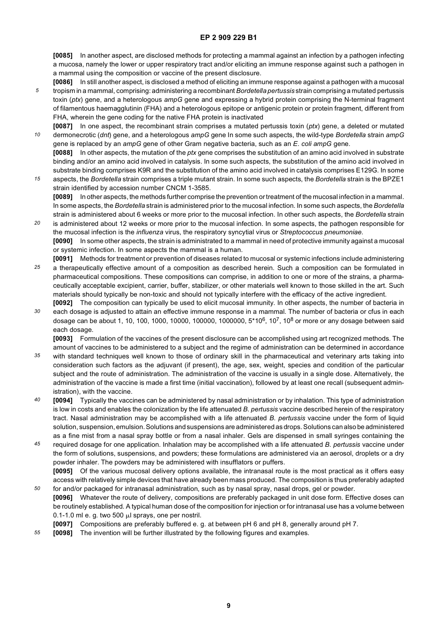**[0085]** In another aspect, are disclosed methods for protecting a mammal against an infection by a pathogen infecting a mucosa, namely the lower or upper respiratory tract and/or eliciting an immune response against such a pathogen in a mammal using the composition or vaccine of the present disclosure.

- *5* **[0086]** In still another aspect, is disclosed a method of eliciting an immune response against a pathogen with a mucosal tropism in a mammal, comprising: administering a recombinant *Bordetella pertussis* strain comprising a mutated pertussis toxin (*ptx*) gene, and a heterologous *ampG* gene and expressing a hybrid protein comprising the N-terminal fragment of filamentous haemagglutinin (FHA) and a heterologous epitope or antigenic protein or protein fragment, different from FHA, wherein the gene coding for the native FHA protein is inactivated
- *10* **[0087]** In one aspect, the recombinant strain comprises a mutated pertussis toxin (*ptx*) gene, a deleted or mutated dermonecrotic (*dnt*) gene, and a heterologous *ampG* gene In some such aspects, the wild-type *Bordetella* strain *ampG* gene is replaced by an *ampG* gene of other Gram negative bacteria, such as an *E*. *coli ampG* gene. **[0088]** In other aspects, the mutation of the *ptx* gene comprises the substitution of an amino acid involved in substrate
- *15* binding and/or an amino acid involved in catalysis. In some such aspects, the substitution of the amino acid involved in substrate binding comprises K9R and the substitution of the amino acid involved in catalysis comprises E129G. In some aspects, the *Bordetella* strain comprises a triple mutant strain. In some such aspects, the *Bordetella* strain is the BPZE1 strain identified by accession number CNCM 1-3585.

**[0089]** In other aspects, the methods further comprise the prevention or treatment of the mucosal infection in a mammal. In some aspects, the *Bordetella* strain is administered prior to the mucosal infection. In some such aspects, the *Bordetella* strain is administered about 6 weeks or more prior to the mucosal infection. In other such aspects, the *Bordetella* strain

- *20* is administered about 12 weeks or more prior to the mucosal infection. In some aspects, the pathogen responsible for the mucosal infection is the *influenza* virus, the respiratory syncytial virus or *Streptococcus pneumoniae.* **[0090]** In some other aspects, the strain is administrated to a mammal in need of protective immunity against a mucosal or systemic infection. In some aspects the mammal is a human.
- *25* **[0091]** Methods for treatment or prevention of diseases related to mucosal or systemic infections include administering a therapeutically effective amount of a composition as described herein. Such a composition can be formulated in pharmaceutical compositions. These compositions can comprise, in addition to one or more of the strains, a pharmaceutically acceptable excipient, carrier, buffer, stabilizer, or other materials well known to those skilled in the art. Such materials should typically be non-toxic and should not typically interfere with the efficacy of the active ingredient.
- *30* **[0092]** The composition can typically be used to elicit mucosal immunity. In other aspects, the number of bacteria in each dosage is adjusted to attain an effective immune response in a mammal. The number of bacteria or cfus in each dosage can be about 1, 10, 100, 1000, 10000, 100000, 1000000, 5\*106, 107, 108 or more or any dosage between said each dosage.

**[0093]** Formulation of the vaccines of the present disclosure can be accomplished using art recognized methods. The amount of vaccines to be administered to a subject and the regime of administration can be determined in accordance

- *35* with standard techniques well known to those of ordinary skill in the pharmaceutical and veterinary arts taking into consideration such factors as the adjuvant (if present), the age, sex, weight, species and condition of the particular subject and the route of administration. The administration of the vaccine is usually in a single dose. Alternatively, the administration of the vaccine is made a first time (initial vaccination), followed by at least one recall (subsequent administration), with the vaccine.
- *40* **[0094]** Typically the vaccines can be administered by nasal administration or by inhalation. This type of administration is low in costs and enables the colonization by the life attenuated *B. pertussis* vaccine described herein of the respiratory tract. Nasal administration may be accomplished with a life attenuated *B. pertussis* vaccine under the form of liquid solution, suspension, emulsion. Solutions and suspensions are administered as drops. Solutions can also be administered as a fine mist from a nasal spray bottle or from a nasal inhaler. Gels are dispensed in small syringes containing the
- *45* required dosage for one application. Inhalation may be accomplished with a life attenuated *B. pertussis* vaccine under the form of solutions, suspensions, and powders; these formulations are administered via an aerosol, droplets or a dry powder inhaler. The powders may be administered with insufflators or puffers. **[0095]** Of the various mucosal delivery options available, the intranasal route is the most practical as it offers easy access with relatively simple devices that have already been mass produced. The composition is thus preferably adapted
- *50* for and/or packaged for intranasal administration, such as by nasal spray, nasal drops, gel or powder. **[0096]** Whatever the route of delivery, compositions are preferably packaged in unit dose form. Effective doses can be routinely established. A typical human dose of the composition for injection or for intranasal use has a volume between 0.1-1.0 ml e. g. two 500  $\mu$ l sprays, one per nostril.
	- **[0097]** Compositions are preferably buffered e. g. at between pH 6 and pH 8, generally around pH 7.
- *55* **[0098]** The invention will be further illustrated by the following figures and examples.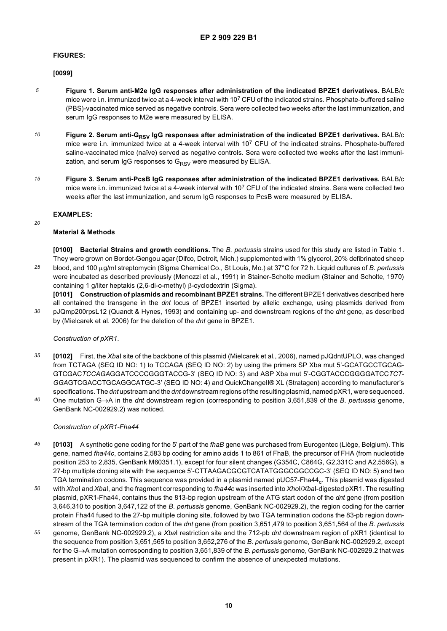#### **FIGURES:**

#### **[0099]**

- *5* **Figure 1. Serum anti-M2e IgG responses after administration of the indicated BPZE1 derivatives.** BALB/c mice were i.n. immunized twice at a 4-week interval with 107 CFU of the indicated strains. Phosphate-buffered saline (PBS)-vaccinated mice served as negative controls. Sera were collected two weeks after the last immunization, and serum IgG responses to M2e were measured by ELISA.
- *10* Figure 2. Serum anti-G<sub>RSV</sub> IgG responses after administration of the indicated BPZE1 derivatives. BALB/c mice were i.n. immunized twice at a 4-week interval with 107 CFU of the indicated strains. Phosphate-buffered saline-vaccinated mice (naïve) served as negative controls. Sera were collected two weeks after the last immunization, and serum IgG responses to  $G_{RSV}$  were measured by ELISA.
- *15* **Figure 3. Serum anti-PcsB IgG responses after administration of the indicated BPZE1 derivatives.** BALB/c mice were i.n. immunized twice at a 4-week interval with 107 CFU of the indicated strains. Sera were collected two weeks after the last immunization, and serum IgG responses to PcsB were measured by ELISA.

#### **EXAMPLES:**

#### *20*

*30*

### **Material & Methods**

*25* **[0100] Bacterial Strains and growth conditions.** The *B. pertussis* strains used for this study are listed in Table 1. They were grown on Bordet-Gengou agar (Difco, Detroit, Mich.) supplemented with 1% glycerol, 20% defibrinated sheep blood, and 100 µg/ml streptomycin (Sigma Chemical Co., St Louis, Mo.) at 37°C for 72 h. Liquid cultures of *B. pertussis* were incubated as described previously (Menozzi et al., 1991) in Stainer-Scholte medium (Stainer and Scholte, 1970) containing 1 g/liter heptakis (2,6-di-o-methyl) β-cyclodextrin (Sigma).

**[0101] Construction of plasmids and recombinant BPZE1 strains.** The different BPZE1 derivatives described here all contained the transgene in the *dnt* locus of BPZE1 inserted by allelic exchange, using plasmids derived from pJQmp200rpsL12 (Quandt & Hynes, 1993) and containing up- and downstream regions of the *dnt* gene, as described by (Mielcarek et al. 2006) for the deletion of the *dnt* gene in BPZE1.

### *Construction of pXR1*.

- *35* **[0102]** First, the *Xba*I site of the backbone of this plasmid (Mielcarek et al., 2006), named pJQdntUPLO, was changed from TCTAGA (SEQ ID NO: 1) to TCCAGA (SEQ ID NO: 2) by using the primers SP Xba mut 5'-GCATGCCTGCAG-GTCGAC*TCCAGA*GGATCCCCGGGTACCG-3' (SEQ ID NO: 3) and ASP Xba mut 5'-CGGTACCCGGGGATCC*TCT-GGA*GTCGACCTGCAGGCATGC-3' (SEQ ID NO: 4) and QuickChangeII® XL (Stratagen) according to manufacturer's specifications. The *dnt* upstream and the *dnt* downstream regions of the resulting plasmid, named pXR1, were sequenced.
- *40* One mutation G→A in the *dnt* downstream region (corresponding to position 3,651,839 of the *B*. *pertussis* genome, GenBank NC-002929.2) was noticed.

#### *Construction of pXR1-Fha44*

- *45* **[0103]** A synthetic gene coding for the 5' part of the *fhaB* gene was purchased from Eurogentec (Liège, Belgium). This gene, named *fha44c*, contains 2,583 bp coding for amino acids 1 to 861 of FhaB, the precursor of FHA (from nucleotide position 253 to 2,835, GenBank M60351.1), except for four silent changes (G354C, C864G, G2,331C and A2,556G), a 27-bp multiple cloning site with the sequence 5'-CTTAAGACGCGTCATATGGGCGGCCGC-3' (SEQ ID NO: 5) and two TGA termination codons. This sequence was provided in a plasmid named pUC57-Fha44<sub>c</sub>. This plasmid was digested
- *50* with *Xho*I and *Xba*I, and the fragment corresponding to *fha44c* was inserted into *Xho*I/*Xba*I-digested pXR1. The resulting plasmid, pXR1-Fha44, contains thus the 813-bp region upstream of the ATG start codon of the *dnt* gene (from position 3,646,310 to position 3,647,122 of the *B*. *pertussis* genome, GenBank NC-002929.2), the region coding for the carrier protein Fha44 fused to the 27-bp multiple cloning site, followed by two TGA termination codons the 83-pb region downstream of the TGA termination codon of the *dnt* gene (from position 3,651,479 to position 3,651,564 of the *B. pertussis*
- *55* genome, GenBank NC-002929.2), a *Xba*I restriction site and the 712-pb *dnt* downstream region of pXR1 (identical to the sequence from position 3,651,565 to position 3,652,276 of the *B. pertussis* genome, GenBank NC-002929.2, except for the G→A mutation corresponding to position 3,651,839 of the *B. pertussis* genome, GenBank NC-002929.2 that was present in pXR1). The plasmid was sequenced to confirm the absence of unexpected mutations.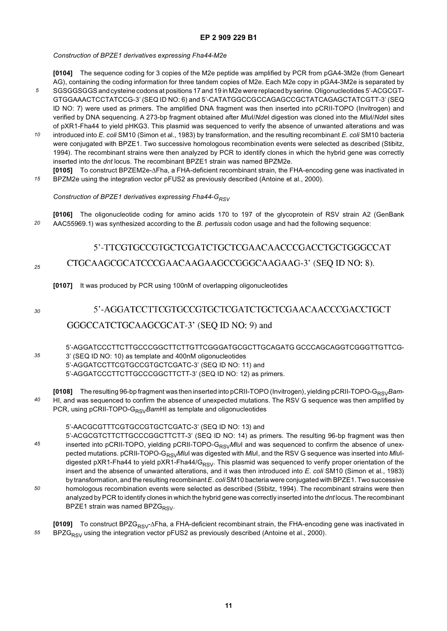*Construction of BPZE1 derivatives expressing Fha44-M2e*

**[0104]** The sequence coding for 3 copies of the M2e peptide was amplified by PCR from pGA4-3M2e (from Geneart AG), containing the coding information for three tandem copies of M2e. Each M2e copy in pGA4-3M2e is separated by

- *5* SGSGGSGGS and cysteine codons at positions 17 and 19 in M2e were replaced by serine. Oligonucleotides 5'-ACGCGT-GTGGAAACTCCTATCCG-3' (SEQ ID NO: 6) and 5'-CATATGGCCGCCAGAGCCGCTATCAGAGCTATCGTT-3' (SEQ ID NO: 7) were used as primers. The amplified DNA fragment was then inserted into pCRII-TOPO (Invitrogen) and verified by DNA sequencing. A 273-bp fragment obtained after *Mlu*I/*Nde*I digestion was cloned into the *Mlu*I/*Nde*I sites of pXR1-Fha44 to yield pHKG3. This plasmid was sequenced to verify the absence of unwanted alterations and was
- *10* introduced into *E. coli* SM10 (Simon et al., 1983) by transformation, and the resulting recombinant *E. coli* SM10 bacteria were conjugated with BPZE1. Two successive homologous recombination events were selected as described (Stibitz, 1994). The recombinant strains were then analyzed by PCR to identify clones in which the hybrid gene was correctly inserted into the *dnt* locus. The recombinant BPZE1 strain was named BPZM2e.
- *15* **[0105]** To construct BPZEM2e-ΔFha, a FHA-deficient recombinant strain, the FHA-encoding gene was inactivated in BPZM2e using the integration vector pFUS2 as previously described (Antoine et al., 2000).

### Construction of BPZE1 derivatives expressing Fha44-G<sub>RSV</sub>

*20* **[0106]** The oligonucleotide coding for amino acids 170 to 197 of the glycoprotein of RSV strain A2 (GenBank AAC55969.1) was synthesized according to the *B. pertussis* codon usage and had the following sequence:

### 5'-TTCGTGCCGTGCTCGATCTGCTCGAACAACCCGACCTGCTGGGCCAT CTGCAAGCGCATCCCGAACAAGAAGCCGGGCAAGAAG-3' (SEQ ID NO: 8). *25*

**[0107]** It was produced by PCR using 100nM of overlapping oligonucleotides

*30*

## 5'-AGGATCCTTCGTGCCGTGCTCGATCTGCTCGAACAACCCGACCTGCT GGGCCATCTGCAAGCGCAT-3' (SEQ ID NO: 9) and

- *35* 5'-AGGATCCCTTCTTGCCCGGCTTCTTGTTCGGGATGCGCTTGCAGATG GCCCAGCAGGTCGGGTTGTTCG-3' (SEQ ID NO: 10) as template and 400nM oligonucleotides 5'-AGGATCCTTCGTGCCGTGCTCGATC-3' (SEQ ID NO: 11) and 5'-AGGATCCCTTCTTGCCCGGCTTCTT-3' (SEQ ID NO: 12) as primers.
- *40* **[0108]** The resulting 96-bp fragment was then inserted into pCRII-TOPO (Invitrogen), yielding pCRII-TOPO-G<sub>RSV</sub>Bam-HI, and was sequenced to confirm the absence of unexpected mutations. The RSV G sequence was then amplified by PCR, using pCRII-TOPO-G<sub>RSV</sub>BamHI as template and oligonucleotides

### 5'-AACGCGTTTCGTGCCGTGCTCGATC-3' (SEQ ID NO: 13) and

*45 50* 5'-ACGCGTCTTCTTGCCCGGCTTCTT-3' (SEQ ID NO: 14) as primers. The resulting 96-bp fragment was then inserted into pCRII-TOPO, yielding pCRII-TOPO-G<sub>RSV</sub>MIuI and was sequenced to confirm the absence of unexpected mutations. pCRII-TOPO-G<sub>RSV</sub>MluI was digested with *MluI*, and the RSV G sequence was inserted into MluIdigested pXR1-Fha44 to yield pXR1-Fha44/G<sub>RSV</sub>. This plasmid was sequenced to verify proper orientation of the insert and the absence of unwanted alterations, and it was then introduced into *E. coli* SM10 (Simon et al., 1983) by transformation, and the resulting recombinant *E*. *coli* SM10 bacteria were conjugated with BPZE1. Two successive homologous recombination events were selected as described (Stibitz, 1994). The recombinant strains were then analyzed by PCR to identify clones in which the hybrid gene was correctly inserted into the *dnt* locus. The recombinant BPZE1 strain was named BPZ $G_{RSV}$ .

*55* **[0109]** To construct BPZG<sub>RSV</sub>-ΔFha, a FHA-deficient recombinant strain, the FHA-encoding gene was inactivated in  $BPZG_{RSV}$  using the integration vector pFUS2 as previously described (Antoine et al., 2000).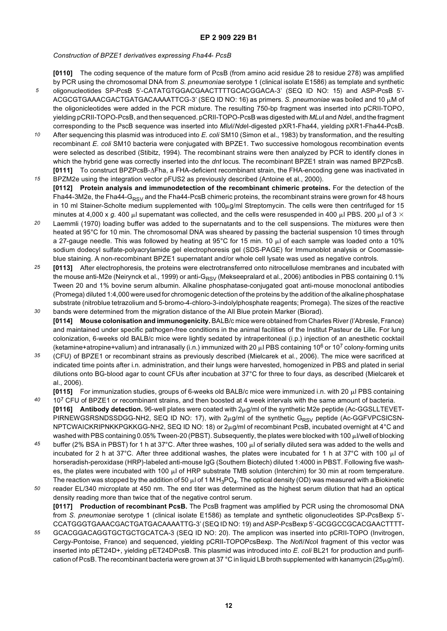*Construction of BPZE1 derivatives expressing Fha44*- *PcsB*

*5* **[0110]** The coding sequence of the mature form of PcsB (from amino acid residue 28 to residue 278) was amplified by PCR using the chromosomal DNA from *S. pneumoniae* serotype 1 (clinical isolate E1586) as template and synthetic oligonucleotides SP-PcsB 5'-CATATGTGGACGAACTTTTGCACGGACA-3' (SEQ ID NO: 15) and ASP-PcsB 5'- ACGCGTGAAACGACTGATGACAAAATTCG-3' (SEQ ID NO: 16) as primers. S. *pneumoniae* was boiled and 10 µM of the oligonicleotides were added in the PCR mixture. The resulting 750-bp fragment was inserted into pCRII-TOPO, yielding pCRII-TOPO-PcsB, and then sequenced. pCRII-TOPO-PcsB was digested with *MLu*I and *Nde*I, and the fragment corresponding to the PscB sequence was inserted into *Mlu*I/*Nde*I-digested pXR1-Fha44, yielding pXR1-Fha44-PcsB.

- *10* After sequencing this plasmid was introduced into *E. coli* SM10 (Simon et al., 1983) by transformation, and the resulting recombinant *E. coli* SM10 bacteria were conjugated with BPZE1. Two successive homologous recombination events were selected as described (Stibitz, 1994). The recombinant strains were then analyzed by PCR to identify clones in which the hybrid gene was correctly inserted into the *dnt* locus. The recombinant BPZE1 strain was named BPZPcsB. **[0111]** To construct BPZPcsB-ΔFha, a FHA-deficient recombinant strain, the FHA-encoding gene was inactivated in
- *15* BPZM2e using the integration vector pFUS2 as previously described (Antoine et al., 2000). **[0112] Protein analysis and immunodetection of the recombinant chimeric proteins.** For the detection of the Fha44-3M2e, the Fha44-G<sub>RSV</sub> and the Fha44-PcsB chimeric proteins, the recombinant strains were grown for 48 hours in 10 ml Stainer-Scholte medium supplemented with  $100\mu g/ml$  Streptomycin. The cells were then centrifuged for 15 minutes at 4,000 x *g.* 400  $\mu$  supernatant was collected, and the cells were resuspended in 400  $\mu$  PBS. 200  $\mu$  of 3  $\times$
- *20* Laemmli (1970) loading buffer was added to the supernatants and to the cell suspensions. The mixtures were then heated at 95°C for 10 min. The chromosomal DNA was sheared by passing the bacterial suspension 10 times through a 27-gauge needle. This was followed by heating at 95°C for 15 min. 10  $\mu$  of each sample was loaded onto a 10% sodium dodecyl sulfate-polyacrylamide gel electrophoresis gel (SDS-PAGE) for Immunoblot analysis or Coomassieblue staining. A non-recombinant BPZE1 supernatant and/or whole cell lysate was used as negative controls.
- *25 30* **[0113]** After electrophoresis, the proteins were electrotransferred onto nitrocellulose membranes and incubated with the mouse anti-M2e (Neirynck et al., 1999) or anti-G<sub>RSV</sub> (Mekseepralard et al., 2006) antibodies in PBS containing 0.1% Tween 20 and 1% bovine serum albumin. Alkaline phosphatase-conjugated goat anti-mouse monoclonal antibodies (Promega) diluted 1:4,000 were used for chromogenic detection of the proteins by the addition of the alkaline phosphatase substrate (nitroblue tetrazolium and 5-bromo-4-chloro-3-indolylphosphate reagents; Promega). The sizes of the reactive bands were determined from the migration distance of the All Blue protein Marker (Biorad).
- **[0114] Mouse colonisation and immunogenicity.** BALB/c mice were obtained from Charles River (l'Abresle, France) and maintained under specific pathogen-free conditions in the animal facilities of the Institut Pasteur de Lille. For lung colonization, 6-weeks old BALB/c mice were lightly sedated by intraperitoneal (i.p.) injection of an anesthetic cocktail (ketamine+atropine+valium) and intranasally (i.n.) immunized with 20  $\mu$  PBS containing 10<sup>6</sup> or 10<sup>7</sup> colony-forming units
- *35* (CFU) of BPZE1 or recombinant strains as previously described (Mielcarek et al., 2006). The mice were sacrificed at indicated time points after i.n. administration, and their lungs were harvested, homogenized in PBS and plated in serial dilutions onto BG-blood agar to count CFUs after incubation at 37°C for three to four days, as described (Mielcarek et al., 2006).

**[0115]** For immunization studies, groups of 6-weeks old BALB/c mice were immunized i.n. with 20  $\mu$  PBS containing

- *40* 10<sup>7</sup> CFU of BPZE1 or recombinant strains, and then boosted at 4 week intervals with the same amount of bacteria.  $[0116]$  Antibody detection. 96-well plates were coated with  $2\mu$ g/ml of the synthetic M2e peptide (Ac-GGSLLTEVET-PIRNEWGSRSNDSSDGG-NH2, SEQ ID NO: 17), with  $2\mu g/m$  of the synthetic G<sub>RSV</sub> peptide (Ac-GGFVPCSICSN-NPTCWAICKRIPNKKPGKKGG-NH2, SEQ ID NO: 18) or 2µg/ml of recombinant PcsB, incubated overnight at 4°C and washed with PBS containing 0.05% Tween-20 (PBST). Subsequently, the plates were blocked with 100 µl/well of blocking
- *45* buffer (2% BSA in PBST) for 1 h at 37°C. After three washes, 100  $\mu$ l of serially diluted sera was added to the wells and incubated for 2 h at 37°C. After three additional washes, the plates were incubated for 1 h at 37°C with 100  $\mu$ l of horseradish-peroxidase (HRP)-labeled anti-mouse IgG (Southern Biotech) diluted 1:4000 in PBST. Following five washes, the plates were incubated with 100  $\mu$  of HRP substrate TMB solution (Interchim) for 30 min at room temperature. The reaction was stopped by the addition of 50  $\mu$ l of 1 M H<sub>3</sub>PO<sub>4</sub>. The optical density (OD) was measured with a Biokinetic
- *50* reader EL/340 microplate at 450 nm. The end titer was determined as the highest serum dilution that had an optical density reading more than twice that of the negative control serum. **[0117] Production of recombinant PcsB.** The PcsB fragment was amplified by PCR using the chromosomal DNA from *S. pneumoniae* serotype 1 (clinical isolate E1586) as template and synthetic oligonucleotides SP-PcsBexp 5'- CCATGGGTGAAACGACTGATGACAAAATTG-3' (SEQ ID NO: 19) and ASP-PcsBexp 5'-GCGGCCGCACGAACTTTT-
- *55* GCACGGACAGGTGCTGCTGCATCA-3 (SEQ ID NO: 20). The amplicon was inserted into pCRII-TOPO (Invitrogen, Cergy-Pontoise, France) and sequenced, yielding pCRII-TOPOPcsBexp. The *Not*I/*Nco*I fragment of this vector was inserted into pET24D+, yielding pET24DPcsB. This plasmid was introduced into *E. coli* BL21 for production and purification of PcsB. The recombinant bacteria were grown at 37 °C in liquid LB broth supplemented with kanamycin ( $25\mu$ g/ml).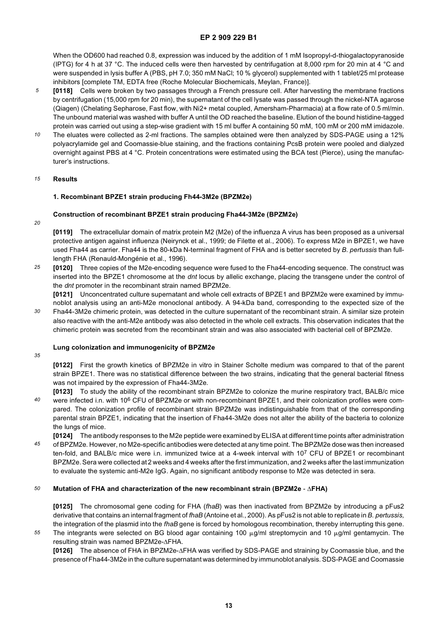When the OD600 had reached 0.8, expression was induced by the addition of 1 mM Isopropyl-d-thiogalactopyranoside (IPTG) for 4 h at 37 °C. The induced cells were then harvested by centrifugation at 8,000 rpm for 20 min at 4 °C and were suspended in lysis buffer A (PBS, pH 7.0; 350 mM NaCl; 10 % glycerol) supplemented with 1 tablet/25 ml protease inhibitors [complete TM, EDTA free (Roche Molecular Biochemicals, Meylan, France)].

- *5* **[0118]** Cells were broken by two passages through a French pressure cell. After harvesting the membrane fractions by centrifugation (15,000 rpm for 20 min), the supernatant of the cell lysate was passed through the nickel-NTA agarose (Qiagen) (Chelating Sepharose, Fast flow, with Ni2+ metal coupled, Amersham-Pharmacia) at a flow rate of 0.5 ml/min. The unbound material was washed with buffer A until the OD reached the baseline. Elution of the bound histidine-tagged protein was carried out using a step-wise gradient with 15 ml buffer A containing 50 mM, 100 mM or 200 mM imidazole.
- *10* The eluates were collected as 2-ml fractions. The samples obtained were then analyzed by SDS-PAGE using a 12% polyacrylamide gel and Coomassie-blue staining, and the fractions containing PcsB protein were pooled and dialyzed overnight against PBS at 4 °C. Protein concentrations were estimated using the BCA test (Pierce), using the manufacturer's instructions.

#### *15* **Results**

#### **1. Recombinant BPZE1 strain producing Fh44-3M2e (BPZM2e)**

#### **Construction of recombinant BPZE1 strain producing Fha44-3M2e (BPZM2e)**

*20*

**[0119]** The extracellular domain of matrix protein M2 (M2e) of the influenza A virus has been proposed as a universal protective antigen against influenza (Neirynck et al., 1999; de Filette et al., 2006). To express M2e in BPZE1, we have used Fha44 as carrier. Fha44 is the 80-kDa N-terminal fragment of FHA and is better secreted by *B. pertussis* than fulllength FHA (Renauld-Mongénie et al., 1996).

*25* **[0120]** Three copies of the M2e-encoding sequence were fused to the Fha44-encoding sequence. The construct was inserted into the BPZE1 chromosome at the *dnt* locus by allelic exchange, placing the transgene under the control of the *dnt* promoter in the recombinant strain named BPZM2e.

**[0121]** Unconcentrated culture supernatant and whole cell extracts of BPZE1 and BPZM2e were examined by immunoblot analysis using an anti-M2e monoclonal antibody. A 94-kDa band, corresponding to the expected size of the Fha44-3M2e chimeric protein, was detected in the culture supernatant of the recombinant strain. A similar size protein also reactive with the anti-M2e antibody was also detected in the whole cell extracts. This observation indicates that the

chimeric protein was secreted from the recombinant strain and was also associated with bacterial cell of BPZM2e.

#### **Lung colonization and immunogenicity of BPZM2e**

*35*

the lungs of mice.

*30*

**[0122]** First the growth kinetics of BPZM2e in vitro in Stainer Scholte medium was compared to that of the parent strain BPZE1. There was no statistical difference between the two strains, indicating that the general bacterial fitness was not impaired by the expression of Fha44-3M2e.

*40* **[0123]** To study the ability of the recombinant strain BPZM2e to colonize the murine respiratory tract, BALB/c mice were infected i.n. with 10<sup>6</sup> CFU of BPZM2e or with non-recombinant BPZE1, and their colonization profiles were compared. The colonization profile of recombinant strain BPZM2e was indistinguishable from that of the corresponding parental strain BPZE1, indicating that the insertion of Fha44-3M2e does not alter the ability of the bacteria to colonize

*45* **[0124]** The antibody responses to the M2e peptide were examined by ELISA at different time points after administration of BPZM2e. However, no M2e-specific antibodies were detected at any time point. The BPZM2e dose was then increased ten-fold, and BALB/c mice were i.n. immunized twice at a 4-week interval with 107 CFU of BPZE1 or recombinant BPZM2e. Sera were collected at 2 weeks and 4 weeks after the first immunization, and 2 weeks after the last immunization to evaluate the systemic anti-M2e IgG. Again, no significant antibody response to M2e was detected in sera.

#### *50* **Mutation of FHA and characterization of the new recombinant strain (BPZM2e** - Δ**FHA)**

**[0125]** The chromosomal gene coding for FHA (*fhaB*) was then inactivated from BPZM2e by introducing a pFus2 derivative that contains an internal fragment of *fhaB* (Antoine et al., 2000). As pFus2 is not able to replicate in *B. pertussis,* the integration of the plasmid into the *fhaB* gene is forced by homologous recombination, thereby interrupting this gene.

*55* The integrants were selected on BG blood agar containing 100  $\mu$ g/ml streptomycin and 10  $\mu$ g/ml gentamycin. The resulting strain was named BPZM2e-ΔFHA.

**[0126]** The absence of FHA in BPZM2e-ΔFHA was verified by SDS-PAGE and straining by Coomassie blue, and the presence of Fha44-3M2e in the culture supernatant was determined by immunoblot analysis. SDS-PAGE and Coomassie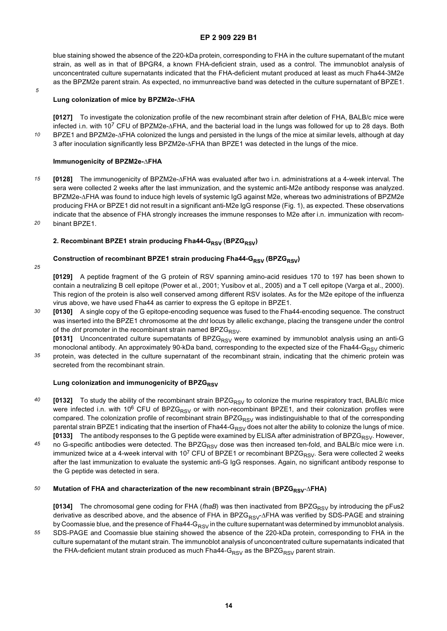blue staining showed the absence of the 220-kDa protein, corresponding to FHA in the culture supernatant of the mutant strain, as well as in that of BPGR4, a known FHA-deficient strain, used as a control. The immunoblot analysis of unconcentrated culture supernatants indicated that the FHA-deficient mutant produced at least as much Fha44-3M2e as the BPZM2e parent strain. As expected, no immunreactive band was detected in the culture supernatant of BPZE1.

*5*

*10*

#### **Lung colonization of mice by BPZM2e-**Δ**FHA**

**[0127]** To investigate the colonization profile of the new recombinant strain after deletion of FHA, BALB/c mice were infected i.n. with 107 CFU of BPZM2e-ΔFHA, and the bacterial load in the lungs was followed for up to 28 days. Both BPZE1 and BPZM2e-ΔFHA colonized the lungs and persisted in the lungs of the mice at similar levels, although at day 3 after inoculation significantly less BPZM2e-ΔFHA than BPZE1 was detected in the lungs of the mice.

#### **Immunogenicity of BPZM2e-**Δ**FHA**

- *15 20* **[0128]** The immunogenicity of BPZM2e-ΔFHA was evaluated after two i.n. administrations at a 4-week interval. The sera were collected 2 weeks after the last immunization, and the systemic anti-M2e antibody response was analyzed. BPZM2e-ΔFHA was found to induce high levels of systemic IgG against M2e, whereas two administrations of BPZM2e producing FHA or BPZE1 did not result in a significant anti-M2e IgG response (Fig. 1), as expected. These observations indicate that the absence of FHA strongly increases the immune responses to M2e after i.n. immunization with recombinant BPZE1.
- 

#### 2. Recombinant BPZE1 strain producing Fha44-G<sub>RSV</sub> (BPZG<sub>RSV</sub>)

#### **Construction of recombinant BPZE1 strain producing Fha44-G<sub>RSV</sub> (BPZG<sub>RSV</sub>)**

*25*

**[0129]** A peptide fragment of the G protein of RSV spanning amino-acid residues 170 to 197 has been shown to contain a neutralizing B cell epitope (Power et al., 2001; Yusibov et al., 2005) and a T cell epitope (Varga et al., 2000). This region of the protein is also well conserved among different RSV isolates. As for the M2e epitope of the influenza virus above, we have used Fha44 as carrier to express the G epitope in BPZE1.

*30* **[0130]** A single copy of the G epitope-encoding sequence was fused to the Fha44-encoding sequence. The construct was inserted into the BPZE1 chromosome at the *dnt* locus by allelic exchange, placing the transgene under the control of the *dnt* promoter in the recombinant strain named BPZG<sub>RSV</sub>.

[0131] Unconcentrated culture supernatants of BPZG<sub>RSV</sub> were examined by immunoblot analysis using an anti-G monoclonal antibody. An approximately 90-kDa band, corresponding to the expected size of the Fha44-G<sub>RSV</sub> chimeric

*35* protein, was detected in the culture supernatant of the recombinant strain, indicating that the chimeric protein was secreted from the recombinant strain.

#### **Lung colonization and immunogenicity of BPZGRSV**

- *40* **[0132]** To study the ability of the recombinant strain BPZG<sub>RSV</sub> to colonize the murine respiratory tract, BALB/c mice were infected i.n. with 10<sup>6</sup> CFU of BPZG<sub>RSV</sub> or with non-recombinant BPZE1, and their colonization profiles were compared. The colonization profile of recombinant strain BPZG<sub>RSV</sub> was indistinguishable to that of the corresponding parental strain BPZE1 indicating that the insertion of Fha44-G<sub>RSV</sub> does not alter the ability to colonize the lungs of mice. **[0133]** The antibody responses to the G peptide were examined by ELISA after administration of BPZG<sub>RSV</sub>. However,
- *45* no G-specific antibodies were detected. The BPZG<sub>RSV</sub> dose was then increased ten-fold, and BALB/c mice were i.n. immunized twice at a 4-week interval with 10<sup>7</sup> CFU of BPZE1 or recombinant BPZG<sub>RSV</sub>. Sera were collected 2 weeks after the last immunization to evaluate the systemic anti-G IgG responses. Again, no significant antibody response to the G peptide was detected in sera.

#### *50* **Mutation of FHA and characterization of the new recombinant strain (BPZG<sub>RSV</sub>-ΔFHA)**

**[0134]** The chromosomal gene coding for FHA (*fhaB*) was then inactivated from BPZG<sub>RSV</sub> by introducing the pFus2 derivative as described above, and the absence of FHA in BPZG<sub>RSV</sub>-ΔFHA was verified by SDS-PAGE and straining by Coomassie blue, and the presence of Fha44-G $_{RSV}$  in the culture supernatant was determined by immunoblot analysis.

*55* SDS-PAGE and Coomassie blue staining showed the absence of the 220-kDa protein, corresponding to FHA in the culture supernatant of the mutant strain. The immunoblot analysis of unconcentrated culture supernatants indicated that the FHA-deficient mutant strain produced as much Fha44-G<sub>RSV</sub> as the BPZG<sub>RSV</sub> parent strain.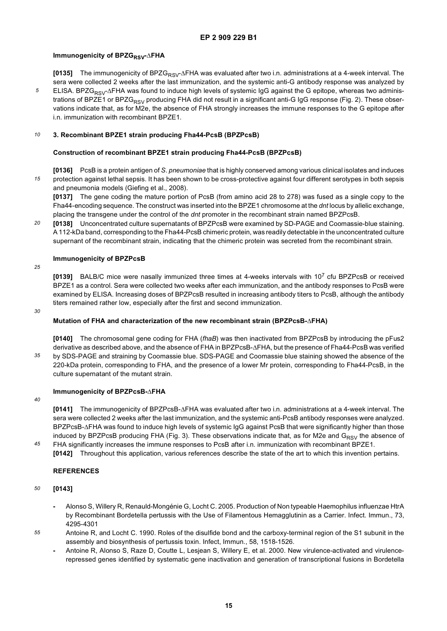### **Immunogenicity of BPZG<sub>RSV</sub>-ΔFHA**

**[0135]** The immunogenicity of BPZG<sub>RSV</sub>-ΔFHA was evaluated after two i.n. administrations at a 4-week interval. The sera were collected 2 weeks after the last immunization, and the systemic anti-G antibody response was analyzed by ELISA. BPZG<sub>RSV</sub>-ΔFHA was found to induce high levels of systemic IgG against the G epitope, whereas two administrations of BPZE1 or BPZG<sub>RSV</sub> producing FHA did not result in a significant anti-G IgG response (Fig. 2). These observations indicate that, as for M2e, the absence of FHA strongly increases the immune responses to the G epitope after i.n. immunization with recombinant BPZE1.

#### *10* **3. Recombinant BPZE1 strain producing Fha44-PcsB (BPZPcsB)**

#### **Construction of recombinant BPZE1 strain producing Fha44-PcsB (BPZPcsB)**

*15* **[0136]** PcsB is a protein antigen of *S*. *pneumoniae* that is highly conserved among various clinical isolates and induces protection against lethal sepsis. It has been shown to be cross-protective against four different serotypes in both sepsis and pneumonia models (Giefing et al., 2008).

**[0137]** The gene coding the mature portion of PcsB (from amino acid 28 to 278) was fused as a single copy to the Fha44-encoding sequence. The construct was inserted into the BPZE1 chromosome at the *dnt* locus by allelic exchange, placing the transgene under the control of the *dnt* promoter in the recombinant strain named BPZPcsB.

*20* **[0138]** Unconcentrated culture supernatants of BPZPcsB were examined by SD-PAGE and Coomassie-blue staining. A 112-kDa band, corresponding to the Fha44-PcsB chimeric protein, was readily detectable in the unconcentrated culture supernant of the recombinant strain, indicating that the chimeric protein was secreted from the recombinant strain.

#### **Immunogenicity of BPZPcsB**

*25*

*5*

**[0139]** BALB/C mice were nasally immunized three times at 4-weeks intervals with 107 cfu BPZPcsB or received BPZE1 as a control. Sera were collected two weeks after each immunization, and the antibody responses to PcsB were examined by ELISA. Increasing doses of BPZPcsB resulted in increasing antibody titers to PcsB, although the antibody titers remained rather low, especially after the first and second immunization.

*30*

#### **Mutation of FHA and characterization of the new recombinant strain (BPZPcsB-**Δ**FHA)**

*35* **[0140]** The chromosomal gene coding for FHA (*fhaB*) was then inactivated from BPZPcsB by introducing the pFus2 derivative as described above, and the absence of FHA in BPZPcsB-ΔFHA, but the presence of Fha44-PcsB was verified by SDS-PAGE and straining by Coomassie blue. SDS-PAGE and Coomassie blue staining showed the absence of the 220-kDa protein, corresponding to FHA, and the presence of a lower Mr protein, corresponding to Fha44-PcsB, in the culture supernatant of the mutant strain.

#### **Immunogenicity of BPZPcsB-**Δ**FHA**

*40*

*45*

**[0141]** The immunogenicity of BPZPcsB-ΔFHA was evaluated after two i.n. administrations at a 4-week interval. The sera were collected 2 weeks after the last immunization, and the systemic anti-PcsB antibody responses were analyzed. BPZPcsB-ΔFHA was found to induce high levels of systemic IgG against PcsB that were significantly higher than those induced by BPZPcsB producing FHA (Fig. 3). These observations indicate that, as for M2e and  $G_{RSV}$  the absence of FHA significantly increases the immune responses to PcsB after i.n. immunization with recombinant BPZE1.

**[0142]** Throughout this application, various references describe the state of the art to which this invention pertains.

### **REFERENCES**

- *50* **[0143]**
	- **-** Alonso S, Willery R, Renauld-Mongénie G, Locht C. 2005. Production of Non typeable Haemophilus influenzae HtrA by Recombinant Bordetella pertussis with the Use of Filamentous Hemagglutinin as a Carrier. Infect. Immun., 73, 4295-4301
- *55* Antoine R, and Locht C. 1990. Roles of the disulfide bond and the carboxy-terminal region of the S1 subunit in the assembly and biosynthesis of pertussis toxin. Infect, Immun., 58, 1518-1526.
	- **-** Antoine R, Alonso S, Raze D, Coutte L, Lesjean S, Willery E, et al. 2000. New virulence-activated and virulencerepressed genes identified by systematic gene inactivation and generation of transcriptional fusions in Bordetella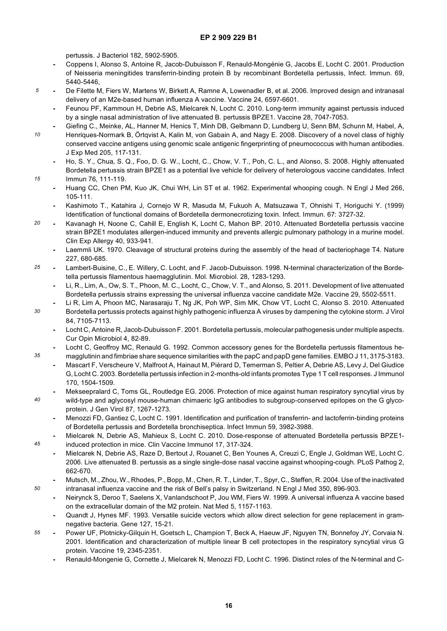pertussis. J Bacteriol 182, 5902-5905.

*5*

*15*

*30*

*35*

*45*

- **-** Coppens I, Alonso S, Antoine R, Jacob-Dubuisson F, Renauld-Mongénie G, Jacobs E, Locht C. 2001. Production of Neisseria meningitides transferrin-binding protein B by recombinant Bordetella pertussis, Infect. Immun. 69, 5440-5446,
- **-** De Filette M, Fiers W, Martens W, Birkett A, Ramne A, Lowenadler B, et al. 2006. Improved design and intranasal delivery of an M2e-based human influenza A vaccine. Vaccine 24, 6597-6601.
	- **-** Feunou PF, Kammoun H, Debrie AS, Mielcarek N, Locht C. 2010. Long-term immunity against pertussis induced by a single nasal administration of live attenuated B. pertussis BPZE1. Vaccine 28, 7047-7053.
- *10* **-** Giefing C., Meinke, AL, Hanner M, Henics T, Minh DB, Gelbmann D, Lundberg U, Senn BM, Schunn M, Habel, A, Henriques-Normark B, Örtqvist A, Kalin M, von Gabain A, and Nagy E. 2008. Discovery of a novel class of highly conserved vaccine antigens using genomic scale antigenic fingerprinting of pneumococcus with human antibodies. J Exp Med 205, 117-131.
	- **-** Ho, S. Y., Chua, S. Q., Foo, D. G. W., Locht, C., Chow, V. T., Poh, C. L., and Alonso, S. 2008. Highly attenuated Bordetella pertussis strain BPZE1 as a potential live vehicle for delivery of heterologous vaccine candidates. Infect Immun 76, 111-119.
	- **-** Huang CC, Chen PM, Kuo JK, Chui WH, Lin ST et al. 1962. Experimental whooping cough. N Engl J Med 266, 105-111.
	- **-** Kashimoto T., Katahira J, Cornejo W R, Masuda M, Fukuoh A, Matsuzawa T, Ohnishi T, Horiguchi Y. (1999) Identification of functional domains of Bordetella dermonecrotizing toxin. Infect. Immun. 67: 3727-32.
- *20* **-** Kavanagh H, Noone C, Cahill E, English K, Locht C, Mahon BP. 2010. Attenuated Bordetella pertussis vaccine strain BPZE1 modulates allergen-induced immunity and prevents allergic pulmonary pathology in a murine model. Clin Exp Allergy 40, 933-941.
	- **-** Laemmli UK. 1970. Cleavage of structural proteins during the assembly of the head of bacteriophage T4. Nature 227, 680-685.
- *25* **-** Lambert-Buisine, C., E. Willery, C. Locht, and F. Jacob-Dubuisson. 1998. N-terminal characterization of the Bordetella pertussis filamentous haemagglutinin. Mol. Microbiol. 28, 1283-1293.
	- **-** Li, R., Lim, A., Ow, S. T., Phoon, M. C., Locht, C., Chow, V. T., and Alonso, S. 2011. Development of live attenuated Bordetella pertussis strains expressing the universal influenza vaccine candidate M2e. Vaccine 29, 5502-5511.
	- **-** Li R, Lim A, Phoon MC, Narasaraju T, Ng JK, Poh WP, Sim MK, Chow VT, Locht C, Alonso S. 2010. Attenuated Bordetella pertussis protects against highly pathogenic influenza A viruses by dampening the cytokine storm. J Virol 84, 7105-7113.
		- **-** Locht C, Antoine R, Jacob-Dubuisson F. 2001. Bordetella pertussis, molecular pathogenesis under multiple aspects. Cur Opin Microbiol 4, 82-89.
	- **-** Locht C, Geoffroy MC, Renauld G. 1992. Common accessory genes for the Bordetella pertussis filamentous hemagglutinin and fimbriae share sequence similarities with the papC and papD gene families. EMBO J 11, 3175-3183.
		- **-** Mascart F, Verscheure V, Malfroot A, Hainaut M, Piérard D, Temerman S, Peltier A, Debrie AS, Levy J, Del Giudice G, Locht C. 2003. Bordetella pertussis infection in 2-months-old infants promotes Type 1 T cell responses. J Immunol 170, 1504-1509.
- *40* **-** Mekseepralard C, Toms GL, Routledge EG. 2006. Protection of mice against human respiratory syncytial virus by wild-type and aglycosyl mouse-human chimaeric IgG antibodies to subgroup-conserved epitopes on the G glycoprotein. J Gen Virol 87, 1267-1273.
	- **-** Menozzi FD, Gantiez C, Locht C. 1991. Identification and purification of transferrin- and lactoferrin-binding proteins of Bordetella pertussis and Bordetella bronchiseptica. Infect Immun 59, 3982-3988.
	- **-** Mielcarek N, Debrie AS, Mahieux S, Locht C. 2010. Dose-response of attenuated Bordetella pertussis BPZE1 induced protection in mice. Clin Vaccine Immunol 17, 317-324.
	- **-** Mielcarek N, Debrie AS, Raze D, Bertout J, Rouanet C, Ben Younes A, Creuzi C, Engle J, Goldman WE, Locht C. 2006. Live attenuated B. pertussis as a single single-dose nasal vaccine against whooping-cough. PLoS Pathog 2, 662-670.
	- **-** Mutsch, M., Zhou, W., Rhodes, P., Bopp, M., Chen, R. T., Linder, T., Spyr, C., Steffen, R. 2004. Use of the inactivated intranasal influenza vaccine and the risk of Bell's palsy in Switzerland. N Engl J Med 350, 896-903.
		- **-** Neirynck S, Deroo T, Saelens X, Vanlandschoot P, Jou WM, Fiers W. 1999. A universal influenza A vaccine based on the extracellular domain of the M2 protein. Nat Med 5, 1157-1163.
		- **-** Quandt J, Hynes MF. 1993. Versatile suicide vectors which allow direct selection for gene replacement in gramnegative bacteria. Gene 127, 15-21.
- *55* **-** Power UF, Plotnicky-Gilquin H, Goetsch L, Champion T, Beck A, Haeuw JF, Nguyen TN, Bonnefoy JY, Corvaia N. 2001. Identification and characterization of multiple linear B cell protectopes in the respiratory syncytial virus G protein. Vaccine 19, 2345-2351.
	- **-** Renauld-Mongenie G, Cornette J, Mielcarek N, Menozzi FD, Locht C. 1996. Distinct roles of the N-terminal and C-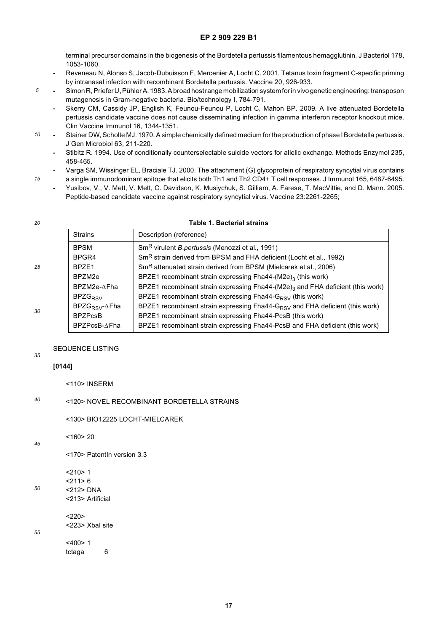terminal precursor domains in the biogenesis of the Bordetella pertussis filamentous hemagglutinin. J Bacteriol 178, 1053-1060.

- **-** Reveneau N, Alonso S, Jacob-Dubuisson F, Mercenier A, Locht C. 2001. Tetanus toxin fragment C-specific priming by intranasal infection with recombinant Bordetella pertussis. Vaccine 20, 926-933.
- **-** Simon R, Priefer U, Pühler A. 1983. A broad host range mobilization system for in vivo genetic engineering: transposon mutagenesis in Gram-negative bacteria. Bio/technology I, 784-791.
	- **-** Skerry CM, Cassidy JP, English K, Feunou-Feunou P, Locht C, Mahon BP. 2009. A live attenuated Bordetella pertussis candidate vaccine does not cause disseminating infection in gamma interferon receptor knockout mice. Clin Vaccine Immunol 16, 1344-1351.
- *10* **-** Stainer DW, Scholte MJ. 1970. A simple chemically defined medium for the production of phase I Bordetella pertussis. J Gen Microbiol 63, 211-220.
	- **-** Stibitz R. 1994. Use of conditionally counterselectable suicide vectors for allelic exchange. Methods Enzymol 235, 458-465.
- *15* **-** Varga SM, Wissinger EL, Braciale TJ. 2000. The attachment (G) glycoprotein of respiratory syncytial virus contains a single immunodominant epitope that elicits both Th1 and Th2 CD4+ T cell responses. J Immunol 165, 6487-6495.
	- **-** Yusibov, V., V. Mett, V. Mett, C. Davidson, K. Musiychuk, S. Gilliam, A. Farese, T. MacVittie, and D. Mann. 2005. Peptide-based candidate vaccine against respiratory syncytial virus. Vaccine 23:2261-2265;

```
20
```
*5*

### **Table 1. Bacterial strains**

|    | <b>Strains</b>              | Description (reference)                                                                    |
|----|-----------------------------|--------------------------------------------------------------------------------------------|
|    | <b>BPSM</b>                 | Sm <sup>R</sup> virulent <i>B.pertussis</i> (Menozzi et al., 1991)                         |
|    | BPGR4                       | Sm <sup>R</sup> strain derived from BPSM and FHA deficient (Locht et al., 1992)            |
| 25 | BPZE1                       | Sm <sup>R</sup> attenuated strain derived from BPSM (Mielcarek et al., 2006)               |
|    | BPZM2e                      | BPZE1 recombinant strain expressing Fha44-(M2e) <sub>3</sub> (this work)                   |
|    | BPZM2e-AFha                 | BPZE1 recombinant strain expressing Fha44-(M2e) <sub>3</sub> and FHA deficient (this work) |
|    | BPZG <sub>RSV</sub>         | BPZE1 recombinant strain expressing Fha44-G <sub>RSV</sub> (this work)                     |
| 30 | $BPZG_{RSV}$ - $\Delta$ Fha | BPZE1 recombinant strain expressing Fha44-G <sub>RSV</sub> and FHA deficient (this work)   |
|    | <b>BPZPcsB</b>              | BPZE1 recombinant strain expressing Fha44-PcsB (this work)                                 |
|    | BPZPcsB-∆Fha                | BPZE1 recombinant strain expressing Fha44-PcsB and FHA deficient (this work)               |

#### *35* SEQUENCE LISTING

*50*

*55*

```
<110> INSERM
```
#### *40* <120> NOVEL RECOMBINANT BORDETELLA STRAINS

<130> BIO12225 LOCHT-MIELCAREK

```
45
         <160> 20
```
**[0144]**

```
<170> PatentIn version 3.3
```

```
<210> 1<211>6
```
<212> DNA <213> Artificial

```
< 220
```

```
<223> XbaI site
< 400 > 1
```
tctaga 6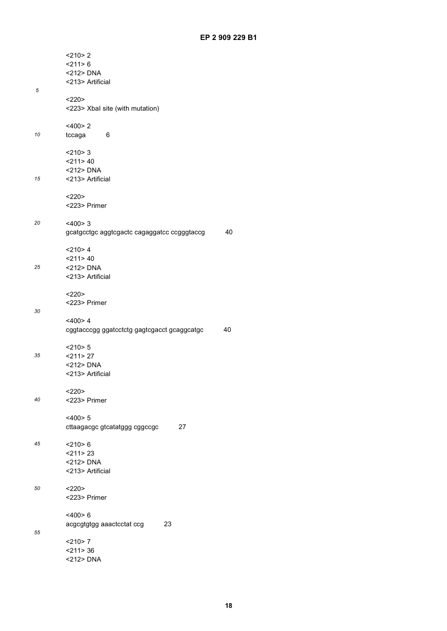|    | $<$ 210 $>$ 2                                     |  |  |  |  |  |  |
|----|---------------------------------------------------|--|--|--|--|--|--|
|    | < 211 > 6                                         |  |  |  |  |  |  |
|    | <212> DNA<br><213> Artificial                     |  |  |  |  |  |  |
| 5  |                                                   |  |  |  |  |  |  |
|    | <220                                              |  |  |  |  |  |  |
|    | <223> Xbal site (with mutation)                   |  |  |  |  |  |  |
|    |                                                   |  |  |  |  |  |  |
| 10 | <400>2<br>tccaga<br>6                             |  |  |  |  |  |  |
|    |                                                   |  |  |  |  |  |  |
|    | < 210 > 3                                         |  |  |  |  |  |  |
|    | $<$ 211>40                                        |  |  |  |  |  |  |
| 15 | <212> DNA<br><213> Artificial                     |  |  |  |  |  |  |
|    |                                                   |  |  |  |  |  |  |
|    | <220>                                             |  |  |  |  |  |  |
|    | <223> Primer                                      |  |  |  |  |  |  |
| 20 | <400>3                                            |  |  |  |  |  |  |
|    | 40<br>gcatgcctgc aggtcgactc cagaggatcc ccgggtaccg |  |  |  |  |  |  |
|    |                                                   |  |  |  |  |  |  |
|    | $<$ 210>4                                         |  |  |  |  |  |  |
|    | $<$ 211>40                                        |  |  |  |  |  |  |
| 25 | $<$ 212> DNA<br><213> Artificial                  |  |  |  |  |  |  |
|    |                                                   |  |  |  |  |  |  |
|    | <220>                                             |  |  |  |  |  |  |
|    | <223> Primer                                      |  |  |  |  |  |  |
| 30 | $<$ 400>4                                         |  |  |  |  |  |  |
|    | 40<br>cggtacccgg ggatcctctg gagtcgacct gcaggcatgc |  |  |  |  |  |  |
|    |                                                   |  |  |  |  |  |  |
|    | $<$ 210 $>$ 5                                     |  |  |  |  |  |  |
| 35 | $<$ 211 > 27<br><212> DNA                         |  |  |  |  |  |  |
|    | <213> Artificial                                  |  |  |  |  |  |  |
|    |                                                   |  |  |  |  |  |  |
|    | <220                                              |  |  |  |  |  |  |
| 40 | <223> Primer                                      |  |  |  |  |  |  |
|    | <400>5                                            |  |  |  |  |  |  |
|    | cttaagacgc gtcatatggg cggccgc<br>27               |  |  |  |  |  |  |
|    |                                                   |  |  |  |  |  |  |
| 45 | $<$ 210 $> 6$<br>$<$ 211 > 23                     |  |  |  |  |  |  |
|    | <212> DNA                                         |  |  |  |  |  |  |
|    | <213> Artificial                                  |  |  |  |  |  |  |
|    |                                                   |  |  |  |  |  |  |
| 50 | <220><br><223> Primer                             |  |  |  |  |  |  |
|    |                                                   |  |  |  |  |  |  |
|    | $<$ 400>6                                         |  |  |  |  |  |  |
|    | 23<br>acgcgtgtgg aaactcctat ccg                   |  |  |  |  |  |  |
| 55 | $<$ 210>7                                         |  |  |  |  |  |  |
|    | $<$ 211 $>$ 36                                    |  |  |  |  |  |  |
|    | <212> DNA                                         |  |  |  |  |  |  |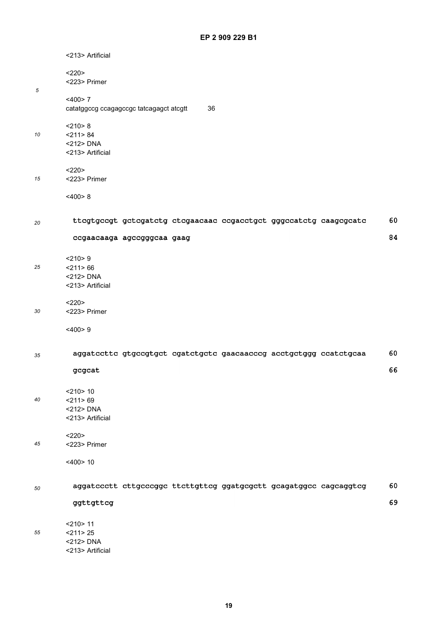|    | <213> Artificial                                                |                                                                   |  |    |
|----|-----------------------------------------------------------------|-------------------------------------------------------------------|--|----|
|    | <220><br><223> Primer                                           |                                                                   |  |    |
| 5  | <400>7<br>catatggccg ccagagccgc tatcagagct atcgtt               | 36                                                                |  |    |
| 10 | < 210 > 8<br>$<$ 211 > 84<br><212> DNA<br><213> Artificial      |                                                                   |  |    |
| 15 | <220><br><223> Primer                                           |                                                                   |  |    |
|    | <400>8                                                          |                                                                   |  |    |
| 20 |                                                                 | ttcgtgccgt gctcgatctg ctcgaacaac ccgacctgct gggccatctg caagcgcatc |  | 60 |
|    | ccgaacaaga agccgggcaa gaag                                      |                                                                   |  | 84 |
| 25 | <210>9<br>$<$ 211>66<br><212> DNA<br><213> Artificial           |                                                                   |  |    |
| 30 | <220><br><223> Primer                                           |                                                                   |  |    |
|    | <400>9                                                          |                                                                   |  |    |
| 35 |                                                                 | aggatccttc gtgccgtgct cgatctgctc gaacaacccg acctgctggg ccatctgcaa |  | 60 |
|    | gcgcat                                                          |                                                                   |  | 66 |
| 40 | $<$ 210 $>$ 10<br>$<$ 211 > 69<br><212> DNA<br><213> Artificial |                                                                   |  |    |
| 45 | <220><br><223> Primer                                           |                                                                   |  |    |
|    | $<$ 400 $>$ 10                                                  |                                                                   |  |    |
| 50 |                                                                 | aggatccctt cttgcccggc ttcttgttcg ggatgcgctt gcagatggcc cagcaggtcg |  | 60 |
|    | ggttgttcg                                                       |                                                                   |  | 69 |
| 55 | $<$ 210 $>$ 11<br>$<$ 211 > 25<br><212> DNA                     |                                                                   |  |    |

<213> Artificial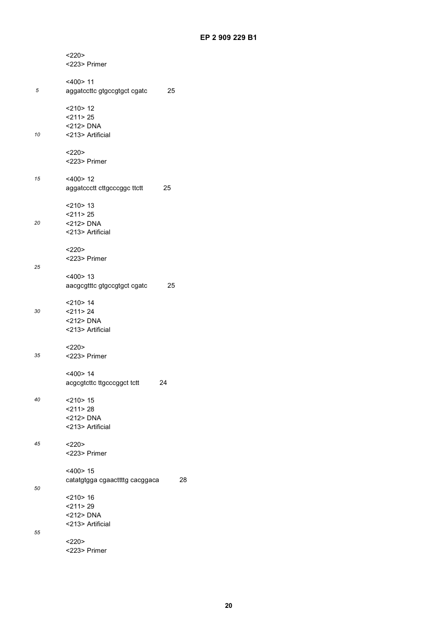|    | <220>                                |
|----|--------------------------------------|
|    | <223> Primer                         |
|    |                                      |
|    | $<$ 400 $>$ 11                       |
| 5  | 25<br>aggatccttc gtgccgtgct cgatc    |
|    | $<$ 210 $>$ 12                       |
|    | $<$ 211 $>$ 25                       |
|    | $<$ 212> DNA                         |
| 10 | <213> Artificial                     |
|    | <220>                                |
|    | <223> Primer                         |
|    |                                      |
| 15 | <400>12                              |
|    | aggatccctt cttgcccggc ttctt<br>25    |
|    |                                      |
|    | $<$ 210 $>$ 13                       |
|    | $<$ 211>25                           |
| 20 | $<$ 212> DNA                         |
|    | <213> Artificial                     |
|    |                                      |
|    | <220>                                |
|    | <223> Primer                         |
| 25 |                                      |
|    | $<$ 400 $>$ 13                       |
|    | aacgcgtttc gtgccgtgct cgatc<br>25    |
|    | $<$ 210 > 14                         |
| 30 | $<$ 211 $>$ 24                       |
|    | <212> DNA                            |
|    | <213> Artificial                     |
|    |                                      |
|    | $<$ 220>                             |
| 35 | <223> Primer                         |
|    |                                      |
|    | $<$ 400 $>$ 14                       |
|    | acgcgtcttc ttgcccggct tctt<br>24     |
| 40 | $<$ 210 $>$ 15                       |
|    | $<$ 211> 28                          |
|    | <212> DNA                            |
|    | <213> Artificial                     |
|    |                                      |
| 45 | <220>                                |
|    | <223> Primer                         |
|    |                                      |
|    | $<$ 400 $>$ 15                       |
| 50 | catatgtgga cgaacttttg cacggaca<br>28 |
|    | $<$ 210 $>$ 16                       |
|    | $<$ 211 > 29                         |
|    | <212> DNA                            |
|    | <213> Artificial                     |
| 55 |                                      |
|    | $<$ 220>                             |
|    | <223> Primer                         |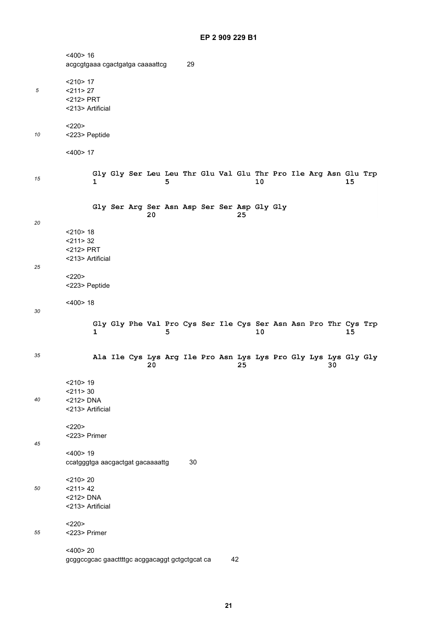|    | $<$ 400 $>$ 16                                 |   |                                             |    |   |    |  |    |    |  |    |                                                                       |  |
|----|------------------------------------------------|---|---------------------------------------------|----|---|----|--|----|----|--|----|-----------------------------------------------------------------------|--|
|    | acgcgtgaaa cgactgatga caaaattcg                |   |                                             |    |   | 29 |  |    |    |  |    |                                                                       |  |
|    | $<$ 210 > 17                                   |   |                                             |    |   |    |  |    |    |  |    |                                                                       |  |
| 5  | $<$ 211 > 27                                   |   |                                             |    |   |    |  |    |    |  |    |                                                                       |  |
|    | <212> PRT                                      |   |                                             |    |   |    |  |    |    |  |    |                                                                       |  |
|    | <213> Artificial                               |   |                                             |    |   |    |  |    |    |  |    |                                                                       |  |
|    | <220>                                          |   |                                             |    |   |    |  |    |    |  |    |                                                                       |  |
| 10 | <223> Peptide                                  |   |                                             |    |   |    |  |    |    |  |    |                                                                       |  |
|    | $<$ 400 $>$ 17                                 |   |                                             |    |   |    |  |    |    |  |    |                                                                       |  |
|    |                                                |   |                                             |    |   |    |  |    |    |  |    | Gly Gly Ser Leu Leu Thr Glu Val Glu Thr Pro Ile Arg Asn Glu Trp       |  |
| 15 |                                                | 1 |                                             |    | 5 |    |  |    | 10 |  |    | 15                                                                    |  |
|    |                                                |   | Gly Ser Arg Ser Asn Asp Ser Ser Asp Gly Gly |    |   |    |  |    |    |  |    |                                                                       |  |
|    |                                                |   |                                             | 20 |   |    |  | 25 |    |  |    |                                                                       |  |
| 20 | $<$ 210 $>$ 18                                 |   |                                             |    |   |    |  |    |    |  |    |                                                                       |  |
|    | $<$ 211 $>$ 32                                 |   |                                             |    |   |    |  |    |    |  |    |                                                                       |  |
|    | <212> PRT                                      |   |                                             |    |   |    |  |    |    |  |    |                                                                       |  |
|    | <213> Artificial                               |   |                                             |    |   |    |  |    |    |  |    |                                                                       |  |
| 25 |                                                |   |                                             |    |   |    |  |    |    |  |    |                                                                       |  |
|    | <220><br><223> Peptide                         |   |                                             |    |   |    |  |    |    |  |    |                                                                       |  |
|    |                                                |   |                                             |    |   |    |  |    |    |  |    |                                                                       |  |
| 30 | $<$ 400 $>$ 18                                 |   |                                             |    |   |    |  |    |    |  |    |                                                                       |  |
|    |                                                |   |                                             |    |   |    |  |    |    |  |    |                                                                       |  |
|    |                                                | 1 |                                             |    | 5 |    |  |    | 10 |  |    | Gly Gly Phe Val Pro Cys Ser Ile Cys Ser Asn Asn Pro Thr Cys Trp<br>15 |  |
|    |                                                |   |                                             |    |   |    |  |    |    |  |    |                                                                       |  |
| 35 |                                                |   |                                             |    |   |    |  |    |    |  |    | Ala Ile Cys Lys Arg Ile Pro Asn Lys Lys Pro Gly Lys Lys Gly Gly       |  |
|    |                                                |   |                                             | 20 |   |    |  | 25 |    |  | 30 |                                                                       |  |
|    | $<$ 210 $>$ 19                                 |   |                                             |    |   |    |  |    |    |  |    |                                                                       |  |
|    | $<$ 211 > 30                                   |   |                                             |    |   |    |  |    |    |  |    |                                                                       |  |
| 40 | <212> DNA                                      |   |                                             |    |   |    |  |    |    |  |    |                                                                       |  |
|    | <213> Artificial                               |   |                                             |    |   |    |  |    |    |  |    |                                                                       |  |
|    | <220>                                          |   |                                             |    |   |    |  |    |    |  |    |                                                                       |  |
|    | <223> Primer                                   |   |                                             |    |   |    |  |    |    |  |    |                                                                       |  |
| 45 | $<400$ > 19                                    |   |                                             |    |   |    |  |    |    |  |    |                                                                       |  |
|    | ccatgggtga aacgactgat gacaaaattg               |   |                                             |    |   | 30 |  |    |    |  |    |                                                                       |  |
|    |                                                |   |                                             |    |   |    |  |    |    |  |    |                                                                       |  |
|    | $<$ 210 $>$ 20                                 |   |                                             |    |   |    |  |    |    |  |    |                                                                       |  |
| 50 | $<$ 211 > 42<br><212> DNA                      |   |                                             |    |   |    |  |    |    |  |    |                                                                       |  |
|    | <213> Artificial                               |   |                                             |    |   |    |  |    |    |  |    |                                                                       |  |
|    | <220>                                          |   |                                             |    |   |    |  |    |    |  |    |                                                                       |  |
| 55 | <223> Primer                                   |   |                                             |    |   |    |  |    |    |  |    |                                                                       |  |
|    | $<$ 400 $>$ 20                                 |   |                                             |    |   |    |  |    |    |  |    |                                                                       |  |
|    | gcggccgcac gaacttttgc acggacaggt gctgctgcat ca |   |                                             |    |   |    |  | 42 |    |  |    |                                                                       |  |
|    |                                                |   |                                             |    |   |    |  |    |    |  |    |                                                                       |  |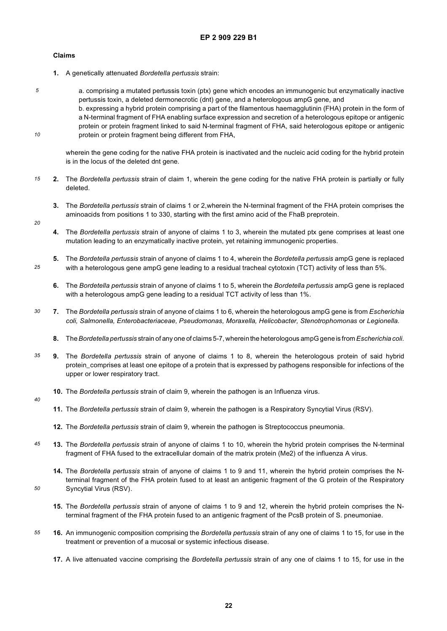#### **Claims**

- **1.** A genetically attenuated *Bordetella pertussis* strain:
- *5 10* a. comprising a mutated pertussis toxin (ptx) gene which encodes an immunogenic but enzymatically inactive pertussis toxin, a deleted dermonecrotic (dnt) gene, and a heterologous ampG gene, and b. expressing a hybrid protein comprising a part of the filamentous haemagglutinin (FHA) protein in the form of a N-terminal fragment of FHA enabling surface expression and secretion of a heterologous epitope or antigenic protein or protein fragment linked to said N-terminal fragment of FHA, said heterologous epitope or antigenic protein or protein fragment being different from FHA,

wherein the gene coding for the native FHA protein is inactivated and the nucleic acid coding for the hybrid protein is in the locus of the deleted dnt gene.

- *15* **2.** The *Bordetella pertussis* strain of claim 1, wherein the gene coding for the native FHA protein is partially or fully deleted.
	- **3.** The *Bordetella pertussis* strain of claims 1 or 2,wherein the N-terminal fragment of the FHA protein comprises the aminoacids from positions 1 to 330, starting with the first amino acid of the FhaB preprotein.
- *20*

*25*

- **4.** The *Bordetella pertussis* strain of anyone of claims 1 to 3, wherein the mutated ptx gene comprises at least one mutation leading to an enzymatically inactive protein, yet retaining immunogenic properties.
- **5.** The *Bordetella pertussis* strain of anyone of claims 1 to 4, wherein the *Bordetella pertussis* ampG gene is replaced with a heterologous gene ampG gene leading to a residual tracheal cytotoxin (TCT) activity of less than 5%.
	- **6.** The *Bordetella pertussis* strain of anyone of claims 1 to 5, wherein the *Bordetella pertussis* ampG gene is replaced with a heterologous ampG gene leading to a residual TCT activity of less than 1%.
- *30* **7.** The *Bordetella pertussis* strain of anyone of claims 1 to 6, wherein the heterologous ampG gene is from *Escherichia coli, Salmonella, Enterobacteriaceae, Pseudomonas, Moraxella, Helicobacter, Stenotrophomonas* or *Legionella.*
	- **8.** The *Bordetella pertussis* strain of any one of claims 5-7, wherein the heterologous ampG gene is from *Escherichia coli.*
- *35* **9.** The *Bordetella pertussis* strain of anyone of claims 1 to 8, wherein the heterologous protein of said hybrid protein\_comprises at least one epitope of a protein that is expressed by pathogens responsible for infections of the upper or lower respiratory tract.
	- **10.** The *Bordetella pertussis* strain of claim 9, wherein the pathogen is an Influenza virus.
- *40*

- **11.** The *Bordetella pertussis* strain of claim 9, wherein the pathogen is a Respiratory Syncytial Virus (RSV).
- **12.** The *Bordetella pertussis* strain of claim 9, wherein the pathogen is Streptococcus pneumonia.
- *45* **13.** The *Bordetella pertussis* strain of anyone of claims 1 to 10, wherein the hybrid protein comprises the N-terminal fragment of FHA fused to the extracellular domain of the matrix protein (Me2) of the influenza A virus.
	- **14.** The *Bordetella pertussis* strain of anyone of claims 1 to 9 and 11, wherein the hybrid protein comprises the Nterminal fragment of the FHA protein fused to at least an antigenic fragment of the G protein of the Respiratory Syncytial Virus (RSV).
	- **15.** The *Bordetella pertussis* strain of anyone of claims 1 to 9 and 12, wherein the hybrid protein comprises the Nterminal fragment of the FHA protein fused to an antigenic fragment of the PcsB protein of S. pneumoniae.
- *55* **16.** An immunogenic composition comprising the *Bordetella pertussis* strain of any one of claims 1 to 15, for use in the treatment or prevention of a mucosal or systemic infectious disease.
	- **17.** A live attenuated vaccine comprising the *Bordetella pertussis* strain of any one of claims 1 to 15, for use in the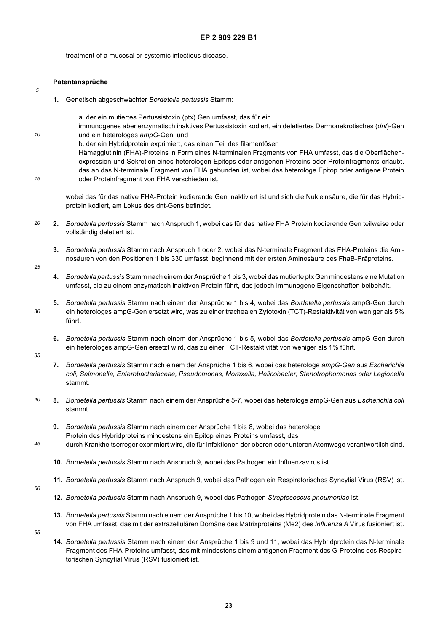treatment of a mucosal or systemic infectious disease.

#### **Patentansprüche**

**1.** Genetisch abgeschwächter *Bordetella pertussis* Stamm:

a. der ein mutiertes Pertussistoxin (ptx) Gen umfasst, das für ein immunogenes aber enzymatisch inaktives Pertussistoxin kodiert, ein deletiertes Dermonekrotisches (*dnt*)-Gen und ein heterologes *ampG*-Gen, und b. der ein Hybridprotein exprimiert, das einen Teil des filamentösen

Hämagglutinin (FHA)-Proteins in Form eines N-terminalen Fragments von FHA umfasst, das die Oberflächenexpression und Sekretion eines heterologen Epitops oder antigenen Proteins oder Proteinfragments erlaubt, das an das N-terminale Fragment von FHA gebunden ist, wobei das heterologe Epitop oder antigene Protein oder Proteinfragment von FHA verschieden ist,

wobei das für das native FHA-Protein kodierende Gen inaktiviert ist und sich die Nukleinsäure, die für das Hybridprotein kodiert, am Lokus des dnt-Gens befindet.

- *20* **2.** *Bordetella pertussis* Stamm nach Anspruch 1, wobei das für das native FHA Protein kodierende Gen teilweise oder vollständig deletiert ist.
	- **3.** *Bordetella pertussis* Stamm nach Anspruch 1 oder 2, wobei das N-terminale Fragment des FHA-Proteins die Aminosäuren von den Positionen 1 bis 330 umfasst, beginnend mit der ersten Aminosäure des FhaB-Präproteins.
- *25*

*5*

*10*

*15*

- **4.** *Bordetella pertussis* Stamm nach einem der Ansprüche 1 bis 3, wobei das mutierte ptx Gen mindestens eine Mutation umfasst, die zu einem enzymatisch inaktiven Protein führt, das jedoch immunogene Eigenschaften beibehält.
- **5.** *Bordetella pertussis* Stamm nach einem der Ansprüche 1 bis 4, wobei das *Bordetella pertussis* ampG-Gen durch ein heterologes ampG-Gen ersetzt wird, was zu einer trachealen Zytotoxin (TCT)-Restaktivität von weniger als 5% führt.
	- **6.** *Bordetella pertussis* Stamm nach einem der Ansprüche 1 bis 5, wobei das *Bordetella pertussis* ampG-Gen durch ein heterologes ampG-Gen ersetzt wird, das zu einer TCT-Restaktivität von weniger als 1% führt.
- *35*

*30*

- **7.** *Bordetella pertussis* Stamm nach einem der Ansprüche 1 bis 6, wobei das heterologe *ampG-Gen* aus *Escherichia coli, Salmonella, Enterobacteriaceae, Pseudomonas, Moraxella, Helicobacter, Stenotrophomonas oder Legionella* stammt.
- *40* **8.** *Bordetella pertussis* Stamm nach einem der Ansprüche 5-7, wobei das heterologe ampG-Gen aus *Escherichia coli* stammt.
	- **9.** *Bordetella pertussis* Stamm nach einem der Ansprüche 1 bis 8, wobei das heterologe Protein des Hybridproteins mindestens ein Epitop eines Proteins umfasst, das durch Krankheitserreger exprimiert wird, die für Infektionen der oberen oder unteren Atemwege verantwortlich sind.
	-
	- **10.** *Bordetella pertussis* Stamm nach Anspruch 9, wobei das Pathogen ein Influenzavirus ist.
	- **11.** *Bordetella pertussis* Stamm nach Anspruch 9, wobei das Pathogen ein Respiratorisches Syncytial Virus (RSV) ist.
- *50*

- **12.** *Bordetella pertussis* Stamm nach Anspruch 9, wobei das Pathogen *Streptococcus pneumoniae* ist.
- **13.** *Bordetella pertussis* Stamm nach einem der Ansprüche 1 bis 10, wobei das Hybridprotein das N-terminale Fragment von FHA umfasst, das mit der extrazellulären Domäne des Matrixproteins (Me2) des *Influenza A* Virus fusioniert ist.
- *55*
- **14.** *Bordetella pertussis* Stamm nach einem der Ansprüche 1 bis 9 und 11, wobei das Hybridprotein das N-terminale Fragment des FHA-Proteins umfasst, das mit mindestens einem antigenen Fragment des G-Proteins des Respiratorischen Syncytial Virus (RSV) fusioniert ist.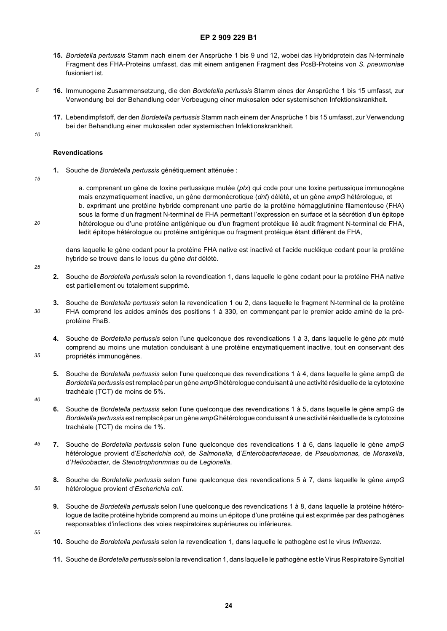- **15.** *Bordetella pertussis* Stamm nach einem der Ansprüche 1 bis 9 und 12, wobei das Hybridprotein das N-terminale Fragment des FHA-Proteins umfasst, das mit einem antigenen Fragment des PcsB-Proteins von *S. pneumoniae* fusioniert ist.
- **16.** Immunogene Zusammensetzung, die den *Bordetella pertussis* Stamm eines der Ansprüche 1 bis 15 umfasst, zur Verwendung bei der Behandlung oder Vorbeugung einer mukosalen oder systemischen Infektionskrankheit.
	- **17.** Lebendimpfstoff, der den *Bordetella pertussis* Stamm nach einem der Ansprüche 1 bis 15 umfasst, zur Verwendung bei der Behandlung einer mukosalen oder systemischen Infektionskrankheit.

*10*

*20*

*25*

*30*

*35*

*5*

#### **Revendications**

*15* **1.** Souche de *Bordetella pertussis* génétiquement atténuée :

> a. comprenant un gène de toxine pertussique mutée (*ptx*) qui code pour une toxine pertussique immunogène mais enzymatiquement inactive, un gène dermonécrotique (*dnt*) délété, et un gène *ampG* hétérologue, et b. exprimant une protéine hybride comprenant une partie de la protéine hémagglutinine filamenteuse (FHA) sous la forme d'un fragment N-terminal de FHA permettant l'expression en surface et la sécrétion d'un épitope hétérologue ou d'une protéine antigénique ou d'un fragment protéique lié audit fragment N-terminal de FHA, ledit épitope hétérologue ou protéine antigénique ou fragment protéique étant différent de FHA,

dans laquelle le gène codant pour la protéine FHA native est inactivé et l'acide nucléique codant pour la protéine hybride se trouve dans le locus du gène *dnt* délété.

- **2.** Souche de *Bordetella pertussis* selon la revendication 1, dans laquelle le gène codant pour la protéine FHA native est partiellement ou totalement supprimé.
- **3.** Souche de *Bordetella pertussis* selon la revendication 1 ou 2, dans laquelle le fragment N-terminal de la protéine FHA comprend les acides aminés des positions 1 à 330, en commençant par le premier acide aminé de la préprotéine FhaB.
- **4.** Souche de *Bordetella pertussis* selon l'une quelconque des revendications 1 à 3, dans laquelle le gène *ptx* muté comprend au moins une mutation conduisant à une protéine enzymatiquement inactive, tout en conservant des propriétés immunogènes.
- **5.** Souche de *Bordetella pertussis* selon l'une quelconque des revendications 1 à 4, dans laquelle le gène ampG de *Bordetella pertussis* est remplacé par un gène *ampG* hétérologue conduisant à une activité résiduelle de la cytotoxine trachéale (TCT) de moins de 5%.
- *40*
- **6.** Souche de *Bordetella pertussis* selon l'une quelconque des revendications 1 à 5, dans laquelle le gène ampG de *Bordetella pertussis* est remplacé par un gène *ampG* hétérologue conduisant à une activité résiduelle de la cytotoxine trachéale (TCT) de moins de 1%.
- *45* **7.** Souche de *Bordetella pertussis* selon l'une quelconque des revendications 1 à 6, dans laquelle le gène *ampG* hétérologue provient d'*Escherichia coli*, de *Salmonella,* d'*Enterobacteriaceae,* de *Pseudomonas,* de *Moraxella*, d'*Helicobacter*, de *Stenotrophonmnas* ou de *Legionella*.
	- **8.** Souche de *Bordetella pertussis* selon l'une quelconque des revendications 5 à 7, dans laquelle le gène *ampG* hétérologue provient d'*Escherichia coli*.
	- **9.** Souche de *Bordetella pertussis* selon l'une quelconque des revendications 1 à 8, dans laquelle la protéine hétérologue de ladite protéine hybride comprend au moins un épitope d'une protéine qui est exprimée par des pathogènes responsables d'infections des voies respiratoires supérieures ou inférieures.

*55*

- **10.** Souche de *Bordetella pertussis* selon la revendication 1, dans laquelle le pathogène est le virus *Influenza.*
- **11.** Souche de *Bordetella pertussis* selon la revendication 1, dans laquelle le pathogène est le Virus Respiratoire Syncitial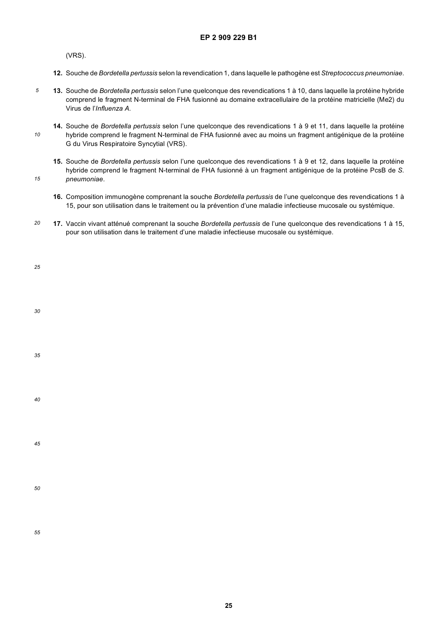(VRS).

- **12.** Souche de *Bordetella pertussis* selon la revendication 1, dans laquelle le pathogène est *Streptococcus pneumoniae*.
- *5* **13.** Souche de *Bordetella pertussis* selon l'une quelconque des revendications 1 à 10, dans laquelle la protéine hybride comprend le fragment N-terminal de FHA fusionné au domaine extracellulaire de la protéine matricielle (Me2) du Virus de l'*Influenza A.*
- *10* **14.** Souche de *Bordetella pertussis* selon l'une quelconque des revendications 1 à 9 et 11, dans laquelle la protéine hybride comprend le fragment N-terminal de FHA fusionné avec au moins un fragment antigénique de la protéine G du Virus Respiratoire Syncytial (VRS).
	- **15.** Souche de *Bordetella pertussis* selon l'une quelconque des revendications 1 à 9 et 12, dans laquelle la protéine hybride comprend le fragment N-terminal de FHA fusionné à un fragment antigénique de la protéine PcsB de *S. pneumoniae*.
	- **16.** Composition immunogène comprenant la souche *Bordetella pertussis* de l'une quelconque des revendications 1 à 15, pour son utilisation dans le traitement ou la prévention d'une maladie infectieuse mucosale ou systémique.
- *20* **17.** Vaccin vivant atténué comprenant la souche *Bordetella pertussis* de l'une quelconque des revendications 1 à 15, pour son utilisation dans le traitement d'une maladie infectieuse mucosale ou systémique.

| i<br>۰.<br>$\sim$ |  |
|-------------------|--|
|                   |  |

*15*

*30*

*35*

*45*

*50*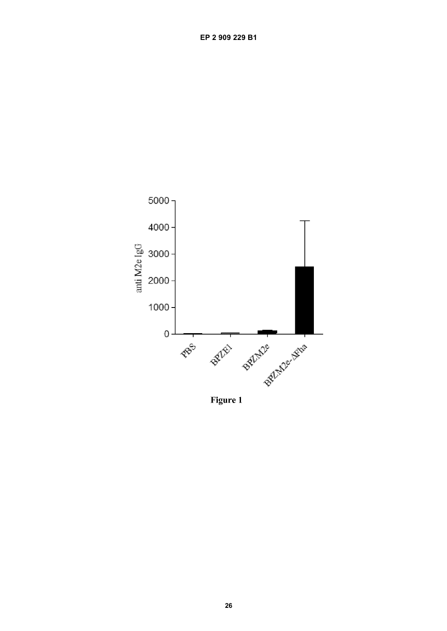

Figure 1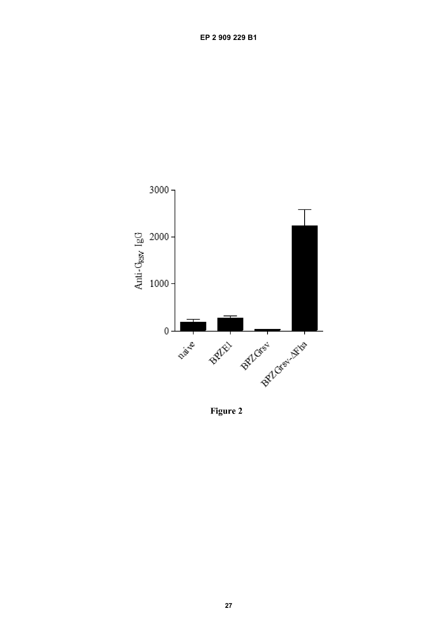

Figure 2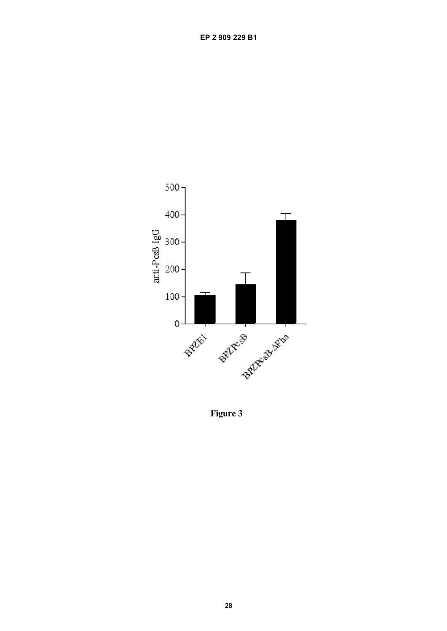

Figure 3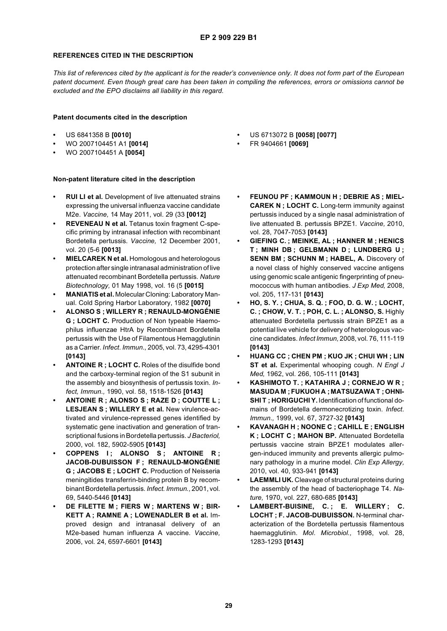### **REFERENCES CITED IN THE DESCRIPTION**

*This list of references cited by the applicant is for the reader's convenience only. It does not form part of the European patent document. Even though great care has been taken in compiling the references, errors or omissions cannot be excluded and the EPO disclaims all liability in this regard.*

#### **Patent documents cited in the description**

- **•** US 6841358 B **[0010]**
- **•** WO 2007104451 A1 **[0014]**
- **•** WO 2007104451 A **[0054]**

### **Non-patent literature cited in the description**

- **RUI LI et al.** Development of live attenuated strains expressing the universal influenza vaccine candidate M2e. *Vaccine,* 14 May 2011, vol. 29 (33 **[0012]**
- **REVENEAU N et al.** Tetanus toxin fragment C-specific priming by intranasal infection with recombinant Bordetella pertussis. *Vaccine,* 12 December 2001, vol. 20 (5-6 **[0013]**
- **MIELCAREK N et al.** Homologous and heterologous protection after single intranasal administration of live attenuated recombinant Bordetella pertussis. *Nature Biotechnology,* 01 May 1998, vol. 16 (5 **[0015]**
- **MANIATIS et al.** Molecular Cloning: Laboratory Manual. Cold Spring Harbor Laboratory, 1982 **[0070]**
- **ALONSO S ; WILLERY R ; RENAULD-MONGÉNIE G ; LOCHT C.** Production of Non typeable Haemophilus influenzae HtrA by Recombinant Bordetella pertussis with the Use of Filamentous Hemagglutinin as a Carrier. *Infect. Immun.,* 2005, vol. 73, 4295-4301 **[0143]**
- **ANTOINE R ; LOCHT C.** Roles of the disulfide bond and the carboxy-terminal region of the S1 subunit in the assembly and biosynthesis of pertussis toxin. *Infect, Immun.,* 1990, vol. 58, 1518-1526 **[0143]**
- **ANTOINE R ; ALONSO S ; RAZE D ; COUTTE L ; LESJEAN S ; WILLERY E et al.** New virulence-activated and virulence-repressed genes identified by systematic gene inactivation and generation of transcriptional fusions in Bordetella pertussis. *J Bacteriol,* 2000, vol. 182, 5902-5905 **[0143]**
- **COPPENS I ; ALONSO S ; ANTOINE R ; JACOB-DUBUISSON F ; RENAULD-MONGÉNIE G ; JACOBS E ; LOCHT C.** Production of Neisseria meningitides transferrin-binding protein B by recombinant Bordetella pertussis. *Infect. Immun.,* 2001, vol. 69, 5440-5446 **[0143]**
- **DE FILETTE M ; FIERS W ; MARTENS W ; BIR-KETT A ; RAMNE A ; LOWENADLER B et al.** Improved design and intranasal delivery of an M2e-based human influenza A vaccine. *Vaccine,* 2006, vol. 24, 6597-6601 **[0143]**
- **•** US 6713072 B **[0058] [0077]**
- **•** FR 9404661 **[0069]**
- **FEUNOU PF ; KAMMOUN H ; DEBRIE AS ; MIEL-CAREK N ; LOCHT C.** Long-term immunity against pertussis induced by a single nasal administration of live attenuated B. pertussis BPZE1. *Vaccine,* 2010, vol. 28, 7047-7053 **[0143]**
- **GIEFING C. ; MEINKE, AL ; HANNER M ; HENICS T ; MINH DB ; GELBMANN D ; LUNDBERG U ; SENN BM ; SCHUNN M ; HABEL, A.** Discovery of a novel class of highly conserved vaccine antigens using genomic scale antigenic fingerprinting of pneumococcus with human antibodies. *J Exp Med,* 2008, vol. 205, 117-131 **[0143]**
- **HO, S. Y. ; CHUA, S. Q. ; FOO, D. G. W. ; LOCHT, C. ; CHOW, V. T. ; POH, C. L. ; ALONSO, S.** Highly attenuated Bordetella pertussis strain BPZE1 as a potential live vehicle for delivery of heterologous vaccine candidates. *Infect Immun,* 2008, vol. 76, 111-119 **[0143]**
- **HUANG CC ; CHEN PM ; KUO JK ; CHUI WH ; LIN ST et al.** Experimental whooping cough. *N Engl J Med,* 1962, vol. 266, 105-111 **[0143]**
- **KASHIMOTO T. ; KATAHIRA J ; CORNEJO W R ; MASUDA M ; FUKUOH A ; MATSUZAWA T ;OHNI-SHI T ; HORIGUCHI Y.** Identification of functional domains of Bordetella dermonecrotizing toxin. *Infect. Immun.,* 1999, vol. 67, 3727-32 **[0143]**
- **KAVANAGH H ; NOONE C ; CAHILL E ; ENGLISH K ; LOCHT C ; MAHON BP.** Attenuated Bordetella pertussis vaccine strain BPZE1 modulates allergen-induced immunity and prevents allergic pulmonary pathology in a murine model. *Clin Exp Allergy,* 2010, vol. 40, 933-941 **[0143]**
- **LAEMMLI UK.** Cleavage of structural proteins during the assembly of the head of bacteriophage T4. *Nature,* 1970, vol. 227, 680-685 **[0143]**
- **LAMBERT-BUISINE, C. ; E. WILLERY ; C. LOCHT ; F. JACOB-DUBUISSON.** N-terminal characterization of the Bordetella pertussis filamentous haemagglutinin. *Mol. Microbiol.,* 1998, vol. 28, 1283-1293 **[0143]**